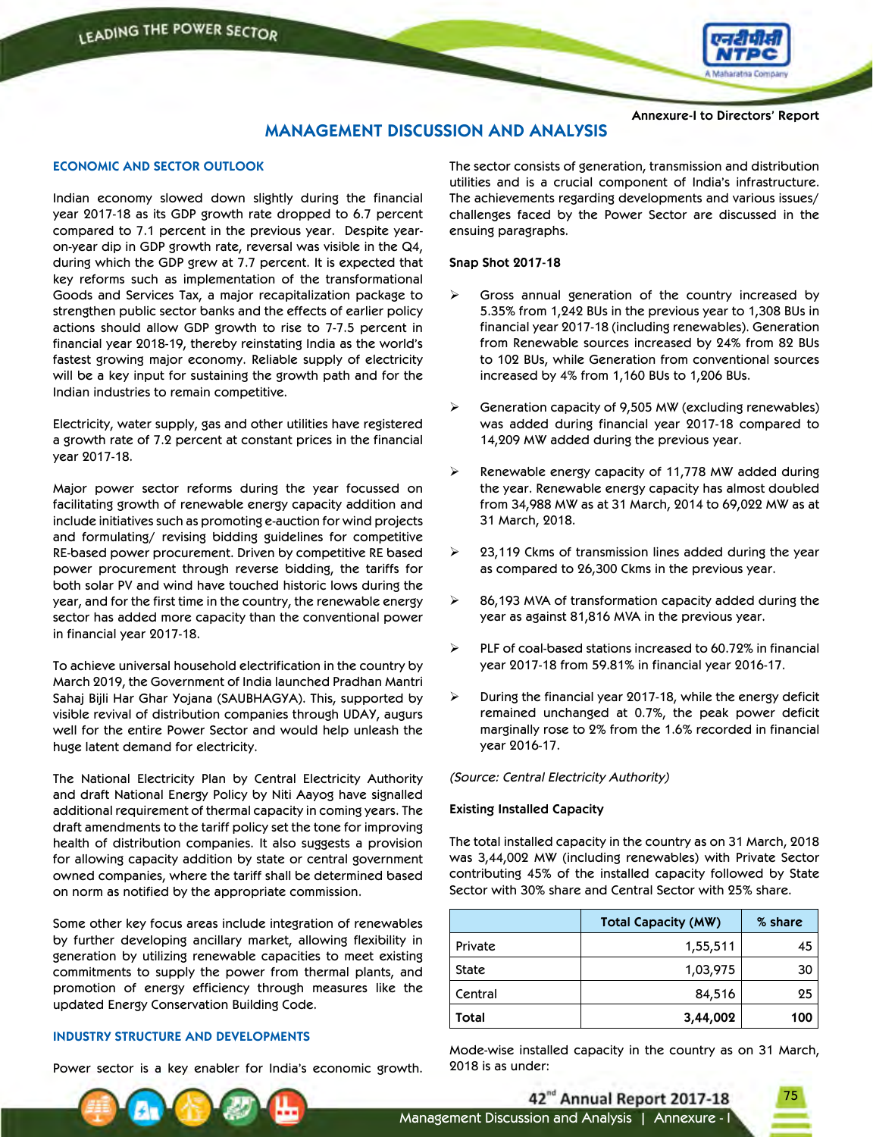

**Annexure-I to Directors' Report**

# **MANAGEMENT DISCUSSION AND ANALYSIS**

### **ECONOMIC AND SECTOR OUTLOOK**

Indian economy slowed down slightly during the financial year 2017-18 as its GDP growth rate dropped to 6.7 percent compared to 7.1 percent in the previous year. Despite yearon-year dip in GDP growth rate, reversal was visible in the Q4, during which the GDP grew at 7.7 percent. It is expected that key reforms such as implementation of the transformational Goods and Services Tax, a major recapitalization package to strengthen public sector banks and the effects of earlier policy actions should allow GDP growth to rise to 7-7.5 percent in financial year 2018-19, thereby reinstating India as the world's fastest growing major economy. Reliable supply of electricity will be a key input for sustaining the growth path and for the Indian industries to remain competitive.

Electricity, water supply, gas and other utilities have registered a growth rate of 7.2 percent at constant prices in the financial year 2017-18.

Major power sector reforms during the year focussed on facilitating growth of renewable energy capacity addition and include initiatives such as promoting e-auction for wind projects and formulating/ revising bidding guidelines for competitive RE-based power procurement. Driven by competitive RE based power procurement through reverse bidding, the tariffs for both solar PV and wind have touched historic lows during the year, and for the first time in the country, the renewable energy sector has added more capacity than the conventional power in financial year 2017-18.

To achieve universal household electrification in the country by March 2019, the Government of India launched Pradhan Mantri Sahaj Bijli Har Ghar Yojana (SAUBHAGYA). This, supported by visible revival of distribution companies through UDAY, augurs well for the entire Power Sector and would help unleash the huge latent demand for electricity.

The National Electricity Plan by Central Electricity Authority and draft National Energy Policy by Niti Aayog have signalled additional requirement of thermal capacity in coming years. The draft amendments to the tariff policy set the tone for improving health of distribution companies. It also suggests a provision for allowing capacity addition by state or central government owned companies, where the tariff shall be determined based on norm as notified by the appropriate commission.

Some other key focus areas include integration of renewables by further developing ancillary market, allowing flexibility in generation by utilizing renewable capacities to meet existing commitments to supply the power from thermal plants, and promotion of energy efficiency through measures like the updated Energy Conservation Building Code.

### **INDUSTRY STRUCTURE AND DEVELOPMENTS**

Power sector is a key enabler for India's economic growth.

The sector consists of generation, transmission and distribution utilities and is a crucial component of India's infrastructure. The achievements regarding developments and various issues/ challenges faced by the Power Sector are discussed in the ensuing paragraphs.

#### **Snap Shot 2017-18**

- Gross annual generation of the country increased by 5.35% from 1,242 BUs in the previous year to 1,308 BUs in financial year 2017-18 (including renewables). Generation from Renewable sources increased by 24% from 82 BUs to 102 BUs, while Generation from conventional sources increased by 4% from 1,160 BUs to 1,206 BUs.
- $\triangleright$  Generation capacity of 9,505 MW (excluding renewables) was added during financial year 2017-18 compared to 14,209 MW added during the previous year.
- Renewable energy capacity of 11,778 MW added during the year. Renewable energy capacity has almost doubled from 34,988 MW as at 31 March, 2014 to 69,022 MW as at 31 March, 2018.
- 23,119 Ckms of transmission lines added during the year as compared to 26,300 Ckms in the previous year.
- 86,193 MVA of transformation capacity added during the year as against 81,816 MVA in the previous year.
- PLF of coal-based stations increased to 60.72% in financial year 2017-18 from 59.81% in financial year 2016-17.
- $\triangleright$  During the financial year 2017-18, while the energy deficit remained unchanged at 0.7%, the peak power deficit marginally rose to 2% from the 1.6% recorded in financial year 2016-17.

*(Source: Central Electricity Authority)*

#### **Existing Installed Capacity**

The total installed capacity in the country as on 31 March, 2018 was 3,44,002 MW (including renewables) with Private Sector contributing 45% of the installed capacity followed by State Sector with 30% share and Central Sector with 25% share.

|              | <b>Total Capacity (MW)</b> | % share |
|--------------|----------------------------|---------|
| Private      | 1,55,511                   | 45      |
| <b>State</b> | 1,03,975                   | 30      |
| Central      | 84,516                     | 25      |
| Total        | 3,44,002                   | 100     |

Mode-wise installed capacity in the country as on 31 March, 2018 is as under:

42<sup>nd</sup> Annual Report 2017-18 Management Discussion and Analysis | Annexure - I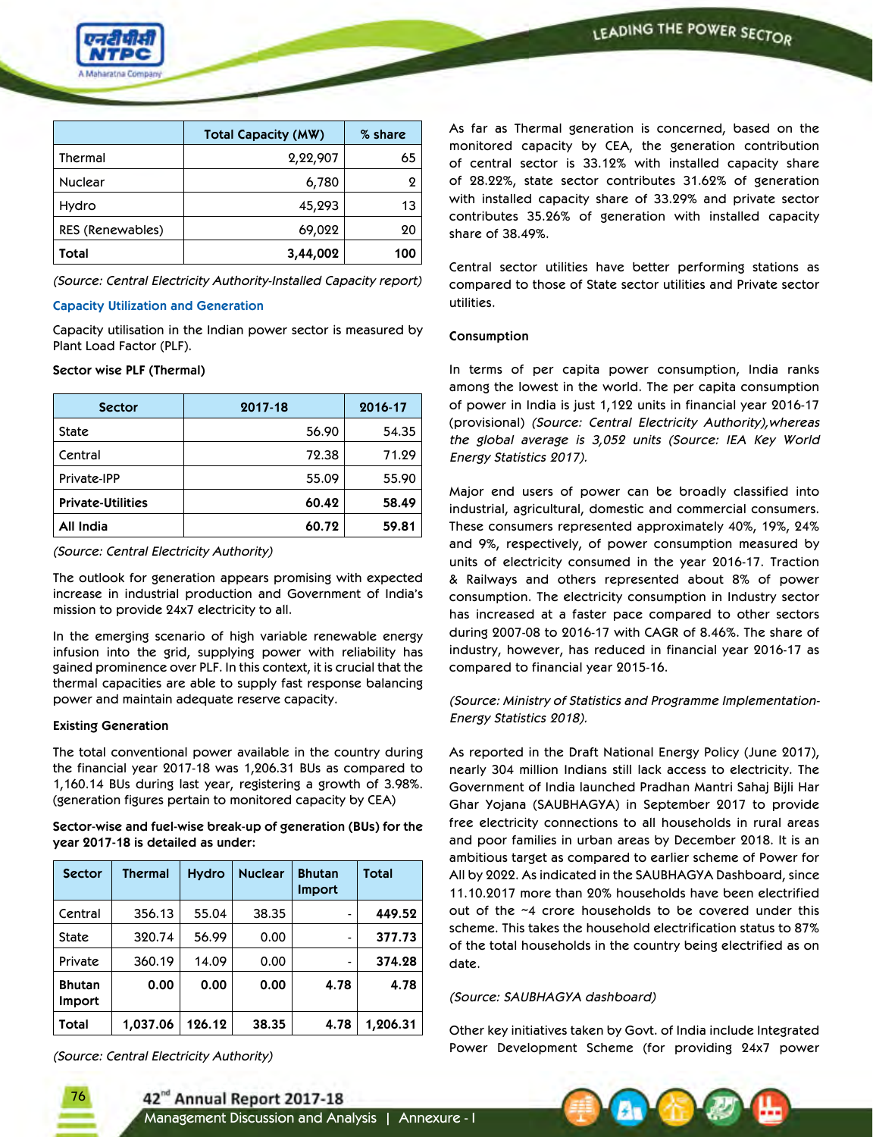

|                  | <b>Total Capacity (MW)</b> | % share |
|------------------|----------------------------|---------|
| Thermal          | 2,22,907                   | 65      |
| Nuclear          | 6,780                      |         |
| Hydro            | 45,293                     | 13      |
| RES (Renewables) | 69,022                     | 20      |
| Total            | 3,44,002                   | 100     |

*(Source: Central Electricity Authority-Installed Capacity report)*

#### **Capacity Utilization and Generation**

Capacity utilisation in the Indian power sector is measured by Plant Load Factor (PLF).

### **Sector wise PLF (Thermal)**

| <b>Sector</b>            | 2017-18 | 2016-17 |
|--------------------------|---------|---------|
| <b>State</b>             | 56.90   | 54.35   |
| Central                  | 72.38   | 71.29   |
| Private-IPP              | 55.09   | 55.90   |
| <b>Private-Utilities</b> | 60.42   | 58.49   |
| <b>All India</b>         | 60.72   | 59.81   |

*(Source: Central Electricity Authority)*

The outlook for generation appears promising with expected increase in industrial production and Government of India's mission to provide 24x7 electricity to all.

In the emerging scenario of high variable renewable energy infusion into the grid, supplying power with reliability has gained prominence over PLF. In this context, it is crucial that the thermal capacities are able to supply fast response balancing power and maintain adequate reserve capacity.

### **Existing Generation**

The total conventional power available in the country during the financial year 2017-18 was 1,206.31 BUs as compared to 1,160.14 BUs during last year, registering a growth of 3.98%. (generation figures pertain to monitored capacity by CEA)

**Sector-wise and fuel-wise break-up of generation (BUs) for the year 2017-18 is detailed as under:**

| <b>Sector</b>           | <b>Thermal</b> | <b>Hydro</b> | <b>Nuclear</b> | <b>Bhutan</b><br><b>Import</b> | Total    |
|-------------------------|----------------|--------------|----------------|--------------------------------|----------|
| Central                 | 356.13         | 55.04        | 38.35          |                                | 449.52   |
| State                   | 320.74         | 56.99        | 0.00           |                                | 377.73   |
| Private                 | 360.19         | 14.09        | 0.00           |                                | 374.28   |
| <b>Bhutan</b><br>Import | 0.00           | 0.00         | 0.00           | 4.78                           | 4.78     |
| Total                   | 1,037.06       | 126.12       | 38.35          | 4.78                           | 1,206.31 |

*(Source: Central Electricity Authority)*

76

As far as Thermal generation is concerned, based on the monitored capacity by CEA, the generation contribution of central sector is 33.12% with installed capacity share of 28.22%, state sector contributes 31.62% of generation with installed capacity share of 33.29% and private sector contributes 35.26% of generation with installed capacity share of 38.49%.

Central sector utilities have better performing stations as compared to those of State sector utilities and Private sector utilities.

### **Consumption**

In terms of per capita power consumption, India ranks among the lowest in the world. The per capita consumption of power in India is just 1,122 units in financial year 2016-17 (provisional) *(Source: Central Electricity Authority),whereas the global average is 3,052 units (Source: IEA Key World Energy Statistics 2017).*

Major end users of power can be broadly classified into industrial, agricultural, domestic and commercial consumers. These consumers represented approximately 40%, 19%, 24% and 9%, respectively, of power consumption measured by units of electricity consumed in the year 2016-17. Traction & Railways and others represented about 8% of power consumption. The electricity consumption in Industry sector has increased at a faster pace compared to other sectors during 2007-08 to 2016-17 with CAGR of 8.46%. The share of industry, however, has reduced in financial year 2016-17 as compared to financial year 2015-16.

*(Source: Ministry of Statistics and Programme Implementation-Energy Statistics 2018).*

As reported in the Draft National Energy Policy (June 2017), nearly 304 million Indians still lack access to electricity. The Government of India launched Pradhan Mantri Sahaj Bijli Har Ghar Yojana (SAUBHAGYA) in September 2017 to provide free electricity connections to all households in rural areas and poor families in urban areas by December 2018. It is an ambitious target as compared to earlier scheme of Power for All by 2022. As indicated in the SAUBHAGYA Dashboard, since 11.10.2017 more than 20% households have been electrified out of the ~4 crore households to be covered under this scheme. This takes the household electrification status to 87% of the total households in the country being electrified as on date.

### *(Source: SAUBHAGYA dashboard)*

Other key initiatives taken by Govt. of India include Integrated Power Development Scheme (for providing 24x7 power

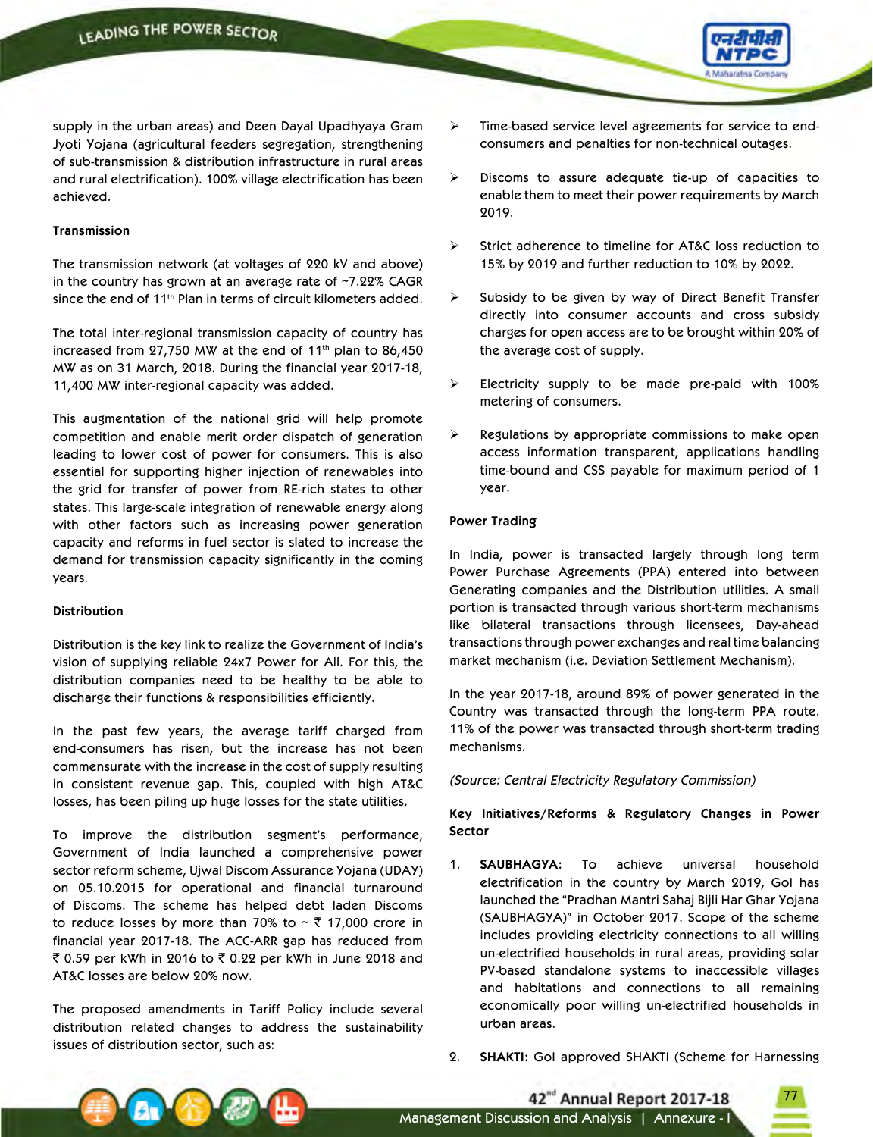

supply in the urban areas) and Deen Dayal Upadhyaya Gram Jyoti Yojana (agricultural feeders segregation, strengthening of sub-transmission & distribution infrastructure in rural areas and rural electrification). 100% village electrification has been achieved.

### **Transmission**

The transmission network (at voltages of 220 kV and above) in the country has grown at an average rate of ~7.22% CAGR since the end of 11th Plan in terms of circuit kilometers added.

The total inter-regional transmission capacity of country has increased from  $27,750$  MW at the end of  $11<sup>th</sup>$  plan to 86,450 MW as on 31 March, 2018. During the financial year 2017-18, 11,400 MW inter-regional capacity was added.

This augmentation of the national grid will help promote competition and enable merit order dispatch of generation leading to lower cost of power for consumers. This is also essential for supporting higher injection of renewables into the grid for transfer of power from RE-rich states to other states. This large-scale integration of renewable energy along with other factors such as increasing power generation capacity and reforms in fuel sector is slated to increase the demand for transmission capacity significantly in the coming years.

#### **Distribution**

Distribution is the key link to realize the Government of India's vision of supplying reliable 24x7 Power for All. For this, the distribution companies need to be healthy to be able to discharge their functions & responsibilities efficiently.

In the past few years, the average tariff charged from end-consumers has risen, but the increase has not been commensurate with the increase in the cost of supply resulting in consistent revenue gap. This, coupled with high AT&C losses, has been piling up huge losses for the state utilities.

To improve the distribution segment's performance, Government of India launched a comprehensive power sector reform scheme, Ujwal Discom Assurance Yojana (UDAY) on 05.10.2015 for operational and financial turnaround of Discoms. The scheme has helped debt laden Discoms to reduce losses by more than 70% to  $\sim$  ₹ 17,000 crore in financial year 2017-18. The ACC-ARR gap has reduced from ₹ 0.59 per kWh in 2016 to ₹ 0.22 per kWh in June 2018 and AT&C losses are below 20% now.

The proposed amendments in Tariff Policy include several distribution related changes to address the sustainability issues of distribution sector, such as:

- Time-based service level agreements for service to endconsumers and penalties for non-technical outages.
- $\triangleright$  Discoms to assure adequate tie-up of capacities to enable them to meet their power requirements by March 2019.
- Strict adherence to timeline for AT&C loss reduction to 15% by 2019 and further reduction to 10% by 2022.
- $\triangleright$  Subsidy to be given by way of Direct Benefit Transfer directly into consumer accounts and cross subsidy charges for open access are to be brought within 20% of the average cost of supply.
- Electricity supply to be made pre-paid with 100% metering of consumers.
- $\triangleright$  Regulations by appropriate commissions to make open access information transparent, applications handling time-bound and CSS payable for maximum period of 1 year.

### **Power Trading**

In India, power is transacted largely through long term Power Purchase Agreements (PPA) entered into between Generating companies and the Distribution utilities. A small portion is transacted through various short-term mechanisms like bilateral transactions through licensees, Day-ahead transactions through power exchanges and real time balancing market mechanism (i.e. Deviation Settlement Mechanism).

In the year 2017-18, around 89% of power generated in the Country was transacted through the long-term PPA route. 11% of the power was transacted through short-term trading mechanisms.

*(Source: Central Electricity Regulatory Commission)*

**Key Initiatives/Reforms & Regulatory Changes in Power Sector**

- 1. **SAUBHAGYA:** To achieve universal household electrification in the country by March 2019, GoI has launched the "Pradhan Mantri Sahaj Bijli Har Ghar Yojana (SAUBHAGYA)" in October 2017. Scope of the scheme includes providing electricity connections to all willing un-electrified households in rural areas, providing solar PV-based standalone systems to inaccessible villages and habitations and connections to all remaining economically poor willing un-electrified households in urban areas.
- 2. **SHAKTI:** GoI approved SHAKTI (Scheme for Harnessing

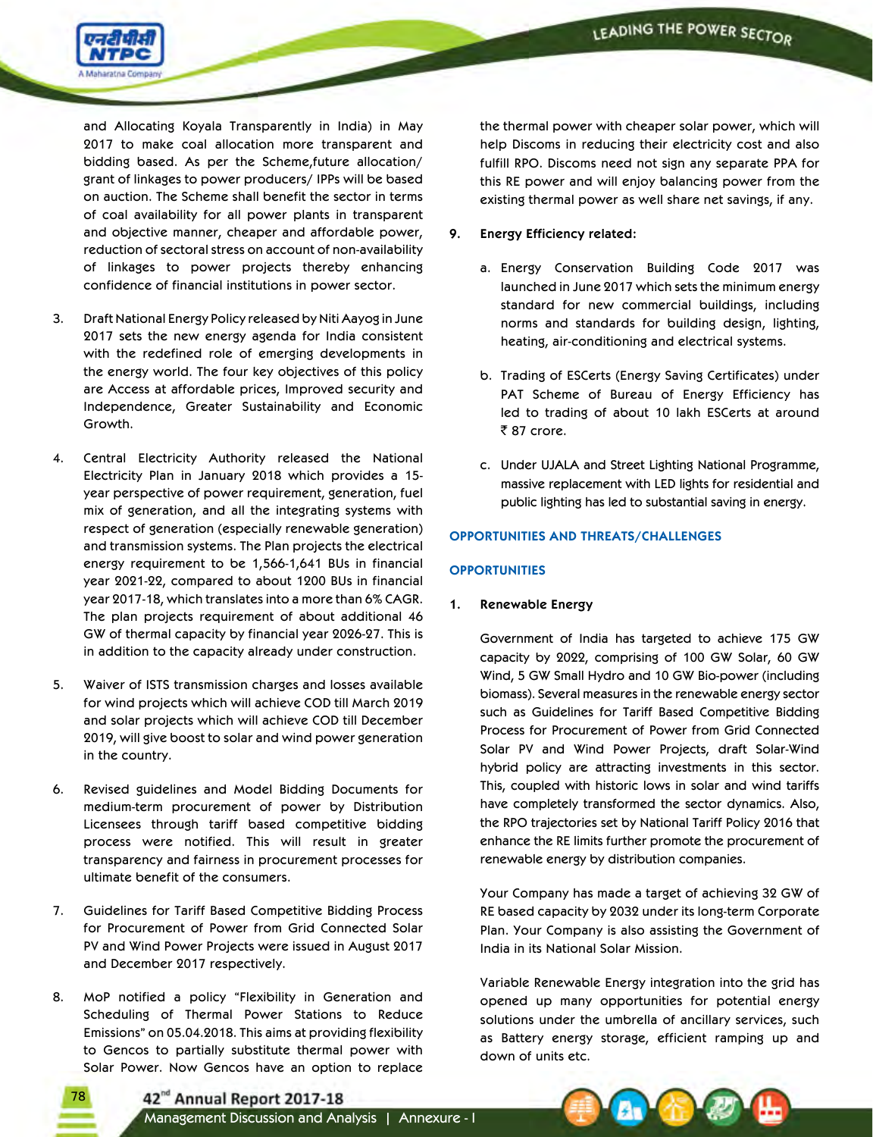

and Allocating Koyala Transparently in India) in May 2017 to make coal allocation more transparent and bidding based. As per the Scheme,future allocation/ grant of linkages to power producers/ IPPs will be based on auction. The Scheme shall benefit the sector in terms of coal availability for all power plants in transparent and objective manner, cheaper and affordable power, reduction of sectoral stress on account of non-availability of linkages to power projects thereby enhancing confidence of financial institutions in power sector.

- 3. Draft National Energy Policy released by Niti Aayog in June 2017 sets the new energy agenda for India consistent with the redefined role of emerging developments in the energy world. The four key objectives of this policy are Access at affordable prices, Improved security and Independence, Greater Sustainability and Economic Growth.
- 4. Central Electricity Authority released the National Electricity Plan in January 2018 which provides a 15 year perspective of power requirement, generation, fuel mix of generation, and all the integrating systems with respect of generation (especially renewable generation) and transmission systems. The Plan projects the electrical energy requirement to be 1,566-1,641 BUs in financial year 2021-22, compared to about 1200 BUs in financial year 2017-18, which translates into a more than 6% CAGR. The plan projects requirement of about additional 46 GW of thermal capacity by financial year 2026-27. This is in addition to the capacity already under construction.
- 5. Waiver of ISTS transmission charges and losses available for wind projects which will achieve COD till March 2019 and solar projects which will achieve COD till December 2019, will give boost to solar and wind power generation in the country.
- 6. Revised guidelines and Model Bidding Documents for medium-term procurement of power by Distribution Licensees through tariff based competitive bidding process were notified. This will result in greater transparency and fairness in procurement processes for ultimate benefit of the consumers.
- 7. Guidelines for Tariff Based Competitive Bidding Process for Procurement of Power from Grid Connected Solar PV and Wind Power Projects were issued in August 2017 and December 2017 respectively.
- 8. MoP notified a policy "Flexibility in Generation and Scheduling of Thermal Power Stations to Reduce Emissions" on 05.04.2018. This aims at providing flexibility to Gencos to partially substitute thermal power with Solar Power. Now Gencos have an option to replace

78

the thermal power with cheaper solar power, which will help Discoms in reducing their electricity cost and also fulfill RPO. Discoms need not sign any separate PPA for this RE power and will enjoy balancing power from the existing thermal power as well share net savings, if any.

- **9. Energy Efficiency related:**
	- a. Energy Conservation Building Code 2017 was launched in June 2017 which sets the minimum energy standard for new commercial buildings, including norms and standards for building design, lighting, heating, air-conditioning and electrical systems.
	- b. Trading of ESCerts (Energy Saving Certificates) under PAT Scheme of Bureau of Energy Efficiency has led to trading of about 10 lakh ESCerts at around ₹87 crore.
	- c. Under UJALA and Street Lighting National Programme, massive replacement with LED lights for residential and public lighting has led to substantial saving in energy.

## **OPPORTUNITIES AND THREATS/CHALLENGES**

## **OPPORTUNITIES**

## **1. Renewable Energy**

Government of India has targeted to achieve 175 GW capacity by 2022, comprising of 100 GW Solar, 60 GW Wind, 5 GW Small Hydro and 10 GW Bio-power (including biomass). Several measures in the renewable energy sector such as Guidelines for Tariff Based Competitive Bidding Process for Procurement of Power from Grid Connected Solar PV and Wind Power Projects, draft Solar-Wind hybrid policy are attracting investments in this sector. This, coupled with historic lows in solar and wind tariffs have completely transformed the sector dynamics. Also, the RPO trajectories set by National Tariff Policy 2016 that enhance the RE limits further promote the procurement of renewable energy by distribution companies.

 Your Company has made a target of achieving 32 GW of RE based capacity by 2032 under its long-term Corporate Plan. Your Company is also assisting the Government of India in its National Solar Mission.

 Variable Renewable Energy integration into the grid has opened up many opportunities for potential energy solutions under the umbrella of ancillary services, such as Battery energy storage, efficient ramping up and down of units etc.

42<sup>nd</sup> Annual Report 2017-18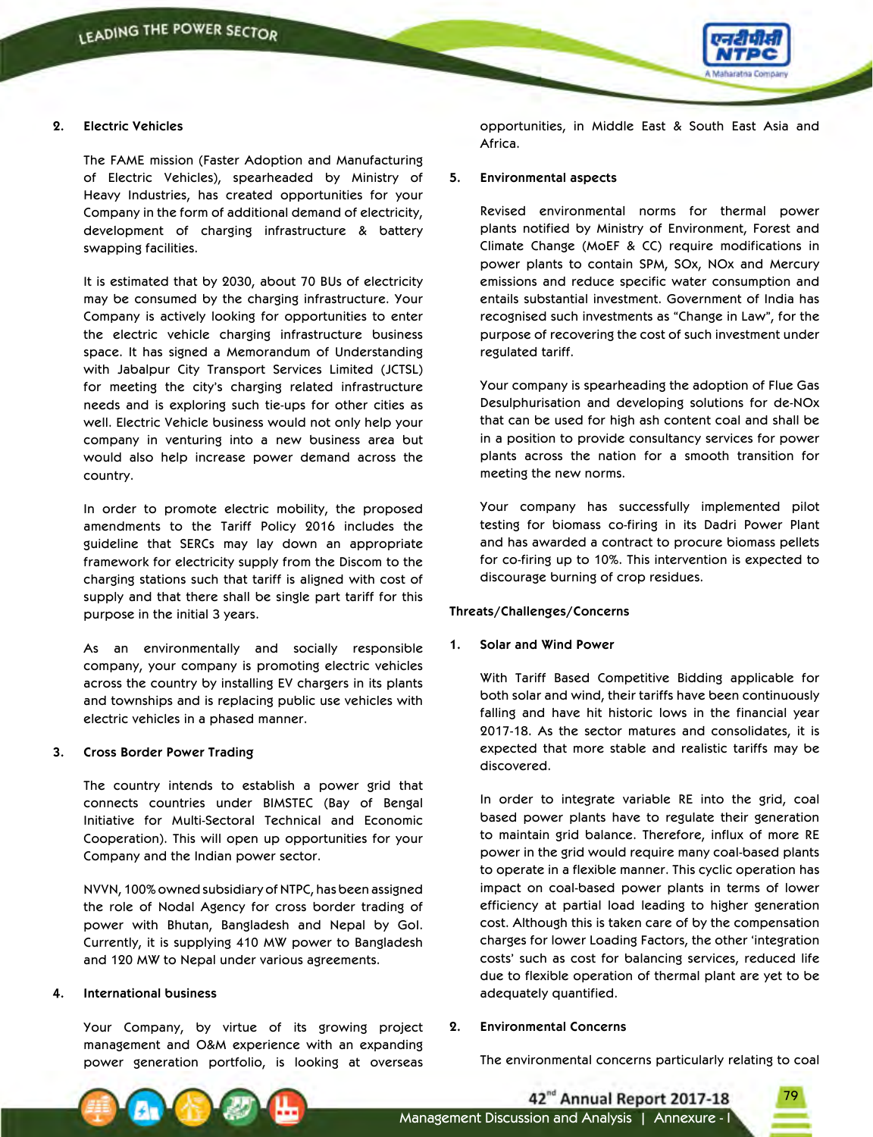

### **2. Electric Vehicles**

 The FAME mission (Faster Adoption and Manufacturing of Electric Vehicles), spearheaded by Ministry of Heavy Industries, has created opportunities for your Company in the form of additional demand of electricity, development of charging infrastructure & battery swapping facilities.

 It is estimated that by 2030, about 70 BUs of electricity may be consumed by the charging infrastructure. Your Company is actively looking for opportunities to enter the electric vehicle charging infrastructure business space. It has signed a Memorandum of Understanding with Jabalpur City Transport Services Limited (JCTSL) for meeting the city's charging related infrastructure needs and is exploring such tie-ups for other cities as well. Electric Vehicle business would not only help your company in venturing into a new business area but would also help increase power demand across the country.

 In order to promote electric mobility, the proposed amendments to the Tariff Policy 2016 includes the guideline that SERCs may lay down an appropriate framework for electricity supply from the Discom to the charging stations such that tariff is aligned with cost of supply and that there shall be single part tariff for this purpose in the initial 3 years.

 As an environmentally and socially responsible company, your company is promoting electric vehicles across the country by installing EV chargers in its plants and townships and is replacing public use vehicles with electric vehicles in a phased manner.

#### **3. Cross Border Power Trading**

 The country intends to establish a power grid that connects countries under BIMSTEC (Bay of Bengal Initiative for Multi-Sectoral Technical and Economic Cooperation). This will open up opportunities for your Company and the Indian power sector.

 NVVN, 100% owned subsidiary of NTPC, has been assigned the role of Nodal Agency for cross border trading of power with Bhutan, Bangladesh and Nepal by GoI. Currently, it is supplying 410 MW power to Bangladesh and 120 MW to Nepal under various agreements.

### **4. International business**

 Your Company, by virtue of its growing project management and O&M experience with an expanding power generation portfolio, is looking at overseas

opportunities, in Middle East & South East Asia and Africa.

#### **5. Environmental aspects**

 Revised environmental norms for thermal power plants notified by Ministry of Environment, Forest and Climate Change (MoEF & CC) require modifications in power plants to contain SPM, SOx, NOx and Mercury emissions and reduce specific water consumption and entails substantial investment. Government of India has recognised such investments as "Change in Law", for the purpose of recovering the cost of such investment under regulated tariff.

 Your company is spearheading the adoption of Flue Gas Desulphurisation and developing solutions for de-NOx that can be used for high ash content coal and shall be in a position to provide consultancy services for power plants across the nation for a smooth transition for meeting the new norms.

 Your company has successfully implemented pilot testing for biomass co-firing in its Dadri Power Plant and has awarded a contract to procure biomass pellets for co-firing up to 10%. This intervention is expected to discourage burning of crop residues.

#### **Threats/Challenges/Concerns**

### **1. Solar and Wind Power**

 With Tariff Based Competitive Bidding applicable for both solar and wind, their tariffs have been continuously falling and have hit historic lows in the financial year 2017-18. As the sector matures and consolidates, it is expected that more stable and realistic tariffs may be discovered.

 In order to integrate variable RE into the grid, coal based power plants have to regulate their generation to maintain grid balance. Therefore, influx of more RE power in the grid would require many coal-based plants to operate in a flexible manner. This cyclic operation has impact on coal-based power plants in terms of lower efficiency at partial load leading to higher generation cost. Although this is taken care of by the compensation charges for lower Loading Factors, the other 'integration costs' such as cost for balancing services, reduced life due to flexible operation of thermal plant are yet to be adequately quantified.

#### **2. Environmental Concerns**

The environmental concerns particularly relating to coal

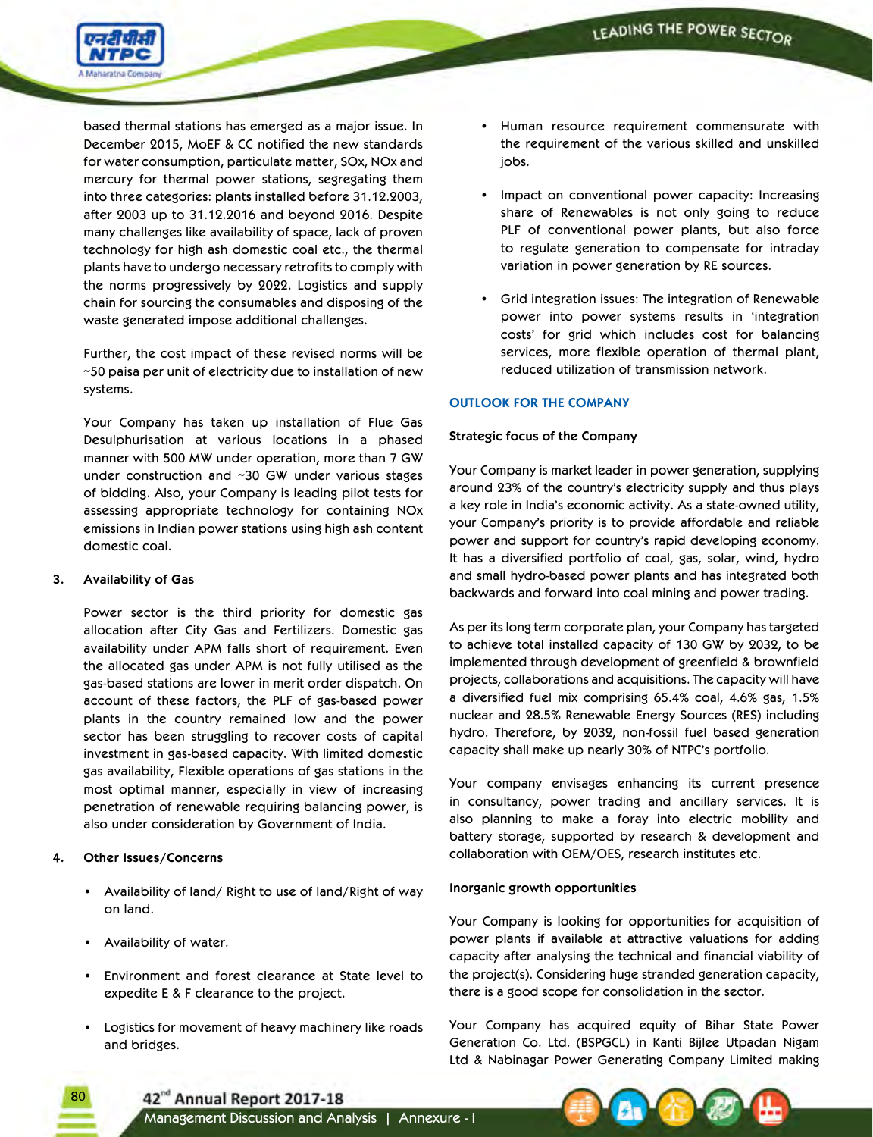

based thermal stations has emerged as a major issue. In December 2015, MoEF & CC notified the new standards for water consumption, particulate matter, SOx, NOx and mercury for thermal power stations, segregating them into three categories: plants installed before 31.12.2003, after 2003 up to 31.12.2016 and beyond 2016. Despite many challenges like availability of space, lack of proven technology for high ash domestic coal etc., the thermal plants have to undergo necessary retrofits to comply with the norms progressively by 2022. Logistics and supply chain for sourcing the consumables and disposing of the waste generated impose additional challenges.

 Further, the cost impact of these revised norms will be ~50 paisa per unit of electricity due to installation of new systems.

 Your Company has taken up installation of Flue Gas Desulphurisation at various locations in a phased manner with 500 MW under operation, more than 7 GW under construction and ~30 GW under various stages of bidding. Also, your Company is leading pilot tests for assessing appropriate technology for containing NOx emissions in Indian power stations using high ash content domestic coal.

### **3. Availability of Gas**

 Power sector is the third priority for domestic gas allocation after City Gas and Fertilizers. Domestic gas availability under APM falls short of requirement. Even the allocated gas under APM is not fully utilised as the gas-based stations are lower in merit order dispatch. On account of these factors, the PLF of gas-based power plants in the country remained low and the power sector has been struggling to recover costs of capital investment in gas-based capacity. With limited domestic gas availability, Flexible operations of gas stations in the most optimal manner, especially in view of increasing penetration of renewable requiring balancing power, is also under consideration by Government of India.

## **4. Other Issues/Concerns**

80

- • Availability of land/ Right to use of land/Right of way on land.
- • Availability of water.
- • Environment and forest clearance at State level to expedite E & F clearance to the project.
- • Logistics for movement of heavy machinery like roads and bridges.
- • Human resource requirement commensurate with the requirement of the various skilled and unskilled jobs.
- • Impact on conventional power capacity: Increasing share of Renewables is not only going to reduce PLF of conventional power plants, but also force to regulate generation to compensate for intraday variation in power generation by RE sources.
- • Grid integration issues: The integration of Renewable power into power systems results in 'integration costs' for grid which includes cost for balancing services, more flexible operation of thermal plant, reduced utilization of transmission network.

## **OUTLOOK FOR THE COMPANY**

## **Strategic focus of the Company**

Your Company is market leader in power generation, supplying around 23% of the country's electricity supply and thus plays a key role in India's economic activity. As a state-owned utility, your Company's priority is to provide affordable and reliable power and support for country's rapid developing economy. It has a diversified portfolio of coal, gas, solar, wind, hydro and small hydro-based power plants and has integrated both backwards and forward into coal mining and power trading.

As per its long term corporate plan, your Company has targeted to achieve total installed capacity of 130 GW by 2032, to be implemented through development of greenfield & brownfield projects, collaborations and acquisitions. The capacity will have a diversified fuel mix comprising 65.4% coal, 4.6% gas, 1.5% nuclear and 28.5% Renewable Energy Sources (RES) including hydro. Therefore, by 2032, non-fossil fuel based generation capacity shall make up nearly 30% of NTPC's portfolio.

Your company envisages enhancing its current presence in consultancy, power trading and ancillary services. It is also planning to make a foray into electric mobility and battery storage, supported by research & development and collaboration with OEM/OES, research institutes etc.

## **Inorganic growth opportunities**

Your Company is looking for opportunities for acquisition of power plants if available at attractive valuations for adding capacity after analysing the technical and financial viability of the project(s). Considering huge stranded generation capacity, there is a good scope for consolidation in the sector.

Your Company has acquired equity of Bihar State Power Generation Co. Ltd. (BSPGCL) in Kanti Bijlee Utpadan Nigam Ltd & Nabinagar Power Generating Company Limited making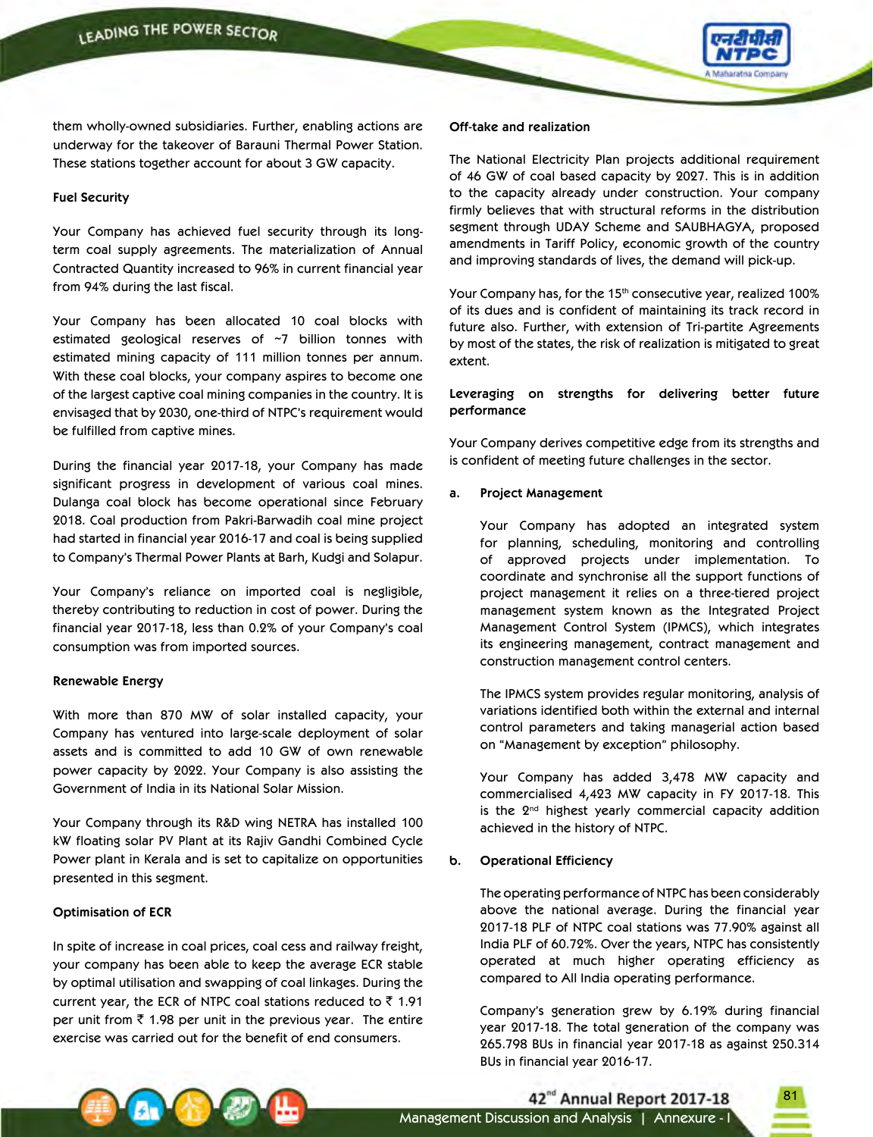

them wholly-owned subsidiaries. Further, enabling actions are underway for the takeover of Barauni Thermal Power Station. These stations together account for about 3 GW capacity.

#### **Fuel Security**

Your Company has achieved fuel security through its longterm coal supply agreements. The materialization of Annual Contracted Quantity increased to 96% in current financial year from 94% during the last fiscal.

Your Company has been allocated 10 coal blocks with estimated geological reserves of ~7 billion tonnes with estimated mining capacity of 111 million tonnes per annum. With these coal blocks, your company aspires to become one of the largest captive coal mining companies in the country. It is envisaged that by 2030, one-third of NTPC's requirement would be fulfilled from captive mines.

During the financial year 2017-18, your Company has made significant progress in development of various coal mines. Dulanga coal block has become operational since February 2018. Coal production from Pakri-Barwadih coal mine project had started in financial year 2016-17 and coal is being supplied to Company's Thermal Power Plants at Barh, Kudgi and Solapur.

Your Company's reliance on imported coal is negligible, thereby contributing to reduction in cost of power. During the financial year 2017-18, less than 0.2% of your Company's coal consumption was from imported sources.

### **Renewable Energy**

With more than 870 MW of solar installed capacity, your Company has ventured into large-scale deployment of solar assets and is committed to add 10 GW of own renewable power capacity by 2022. Your Company is also assisting the Government of India in its National Solar Mission.

Your Company through its R&D wing NETRA has installed 100 kW floating solar PV Plant at its Rajiv Gandhi Combined Cycle Power plant in Kerala and is set to capitalize on opportunities presented in this segment.

### **Optimisation of ECR**

In spite of increase in coal prices, coal cess and railway freight, your company has been able to keep the average ECR stable by optimal utilisation and swapping of coal linkages. During the current year, the ECR of NTPC coal stations reduced to  $\bar{z}$  1.91 per unit from  $\bar{\tau}$  1.98 per unit in the previous year. The entire exercise was carried out for the benefit of end consumers.

#### **Off-take and realization**

The National Electricity Plan projects additional requirement of 46 GW of coal based capacity by 2027. This is in addition to the capacity already under construction. Your company firmly believes that with structural reforms in the distribution segment through UDAY Scheme and SAUBHAGYA, proposed amendments in Tariff Policy, economic growth of the country and improving standards of lives, the demand will pick-up.

Your Company has, for the 15<sup>th</sup> consecutive year, realized 100% of its dues and is confident of maintaining its track record in future also. Further, with extension of Tri-partite Agreements by most of the states, the risk of realization is mitigated to great extent.

### **Leveraging on strengths for delivering better future performance**

Your Company derives competitive edge from its strengths and is confident of meeting future challenges in the sector.

### **a. Project Management**

 Your Company has adopted an integrated system for planning, scheduling, monitoring and controlling of approved projects under implementation. To coordinate and synchronise all the support functions of project management it relies on a three-tiered project management system known as the Integrated Project Management Control System (IPMCS), which integrates its engineering management, contract management and construction management control centers.

 The IPMCS system provides regular monitoring, analysis of variations identified both within the external and internal control parameters and taking managerial action based on "Management by exception" philosophy.

 Your Company has added 3,478 MW capacity and commercialised 4,423 MW capacity in FY 2017-18. This is the 2<sup>nd</sup> highest yearly commercial capacity addition achieved in the history of NTPC.

### **b. Operational Efficiency**

 The operating performance of NTPC has been considerably above the national average. During the financial year 2017-18 PLF of NTPC coal stations was 77.90% against all India PLF of 60.72%. Over the years, NTPC has consistently operated at much higher operating efficiency as compared to All India operating performance.

Company's generation grew by 6.19% during financial year 2017-18. The total generation of the company was 265.798 BUs in financial year 2017-18 as against 250.314 BUs in financial year 2016-17.

81



42<sup>nd</sup> Annual Report 2017-18 Management Discussion and Analysis | Annexure - I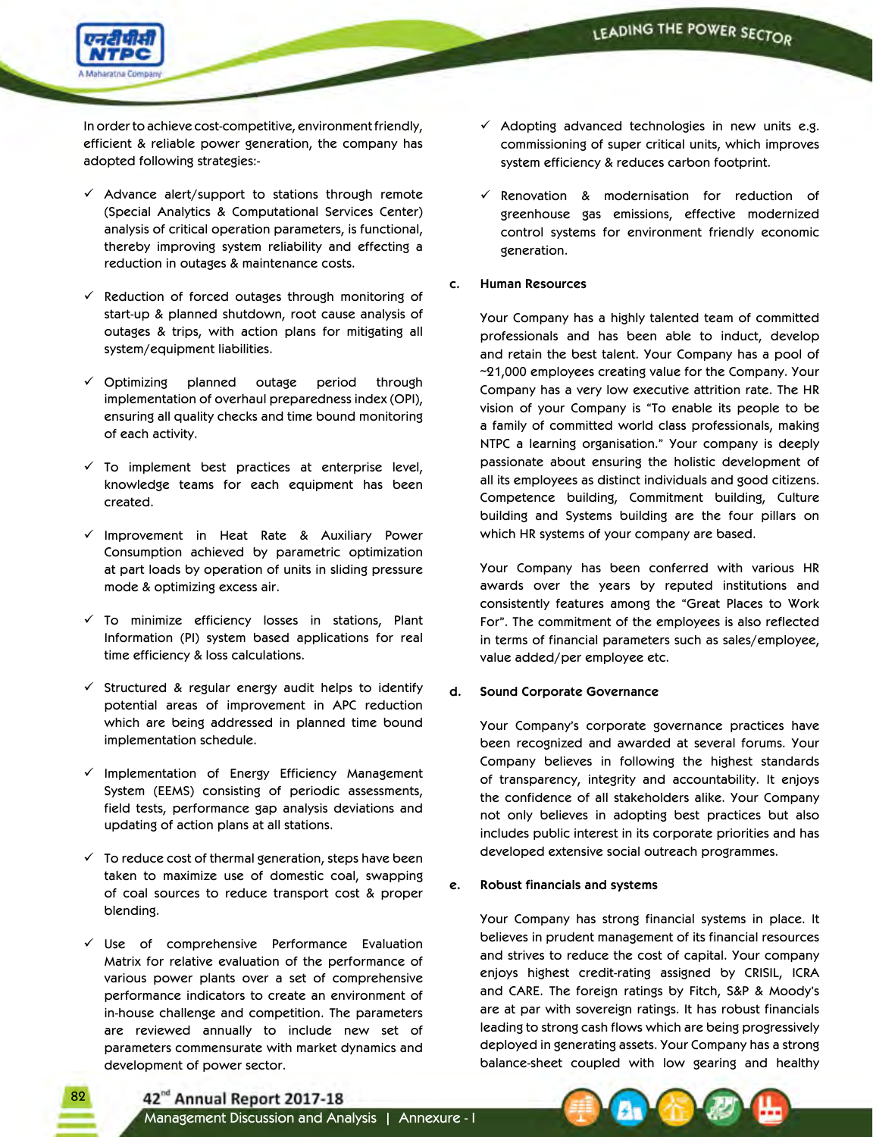

 In order to achieve cost-competitive, environment friendly, efficient & reliable power generation, the company has adopted following strategies:-

- $\checkmark$  Advance alert/support to stations through remote (Special Analytics & Computational Services Center) analysis of critical operation parameters, is functional, thereby improving system reliability and effecting a reduction in outages & maintenance costs.
- $\checkmark$  Reduction of forced outages through monitoring of start-up & planned shutdown, root cause analysis of outages & trips, with action plans for mitigating all system/equipment liabilities.
- $\checkmark$  Optimizing planned outage period through implementation of overhaul preparedness index (OPI), ensuring all quality checks and time bound monitoring of each activity.
- $\checkmark$  To implement best practices at enterprise level, knowledge teams for each equipment has been created.
- $\checkmark$  Improvement in Heat Rate & Auxiliary Power Consumption achieved by parametric optimization at part loads by operation of units in sliding pressure mode & optimizing excess air.
- $\checkmark$  To minimize efficiency losses in stations, Plant Information (PI) system based applications for real time efficiency & loss calculations.
- $\checkmark$  Structured & regular energy audit helps to identify potential areas of improvement in APC reduction which are being addressed in planned time bound implementation schedule.
- $\checkmark$  Implementation of Energy Efficiency Management System (EEMS) consisting of periodic assessments, field tests, performance gap analysis deviations and updating of action plans at all stations.
- $\checkmark$  To reduce cost of thermal generation, steps have been taken to maximize use of domestic coal, swapping of coal sources to reduce transport cost & proper blending.
- $\checkmark$  Use of comprehensive Performance Evaluation Matrix for relative evaluation of the performance of various power plants over a set of comprehensive performance indicators to create an environment of in-house challenge and competition. The parameters are reviewed annually to include new set of parameters commensurate with market dynamics and development of power sector.
- $\checkmark$  Adopting advanced technologies in new units e.g. commissioning of super critical units, which improves system efficiency & reduces carbon footprint.
- $\checkmark$  Renovation & modernisation for reduction of greenhouse gas emissions, effective modernized control systems for environment friendly economic generation.
- **c. Human Resources**

 Your Company has a highly talented team of committed professionals and has been able to induct, develop and retain the best talent. Your Company has a pool of ~21,000 employees creating value for the Company. Your Company has a very low executive attrition rate. The HR vision of your Company is "To enable its people to be a family of committed world class professionals, making NTPC a learning organisation." Your company is deeply passionate about ensuring the holistic development of all its employees as distinct individuals and good citizens. Competence building, Commitment building, Culture building and Systems building are the four pillars on which HR systems of your company are based.

 Your Company has been conferred with various HR awards over the years by reputed institutions and consistently features among the "Great Places to Work For". The commitment of the employees is also reflected in terms of financial parameters such as sales/employee, value added/per employee etc.

## **d. Sound Corporate Governance**

Your Company's corporate governance practices have been recognized and awarded at several forums. Your Company believes in following the highest standards of transparency, integrity and accountability. It enjoys the confidence of all stakeholders alike. Your Company not only believes in adopting best practices but also includes public interest in its corporate priorities and has developed extensive social outreach programmes.

## **e. Robust financials and systems**

 Your Company has strong financial systems in place. It believes in prudent management of its financial resources and strives to reduce the cost of capital. Your company enjoys highest credit-rating assigned by CRISIL, ICRA and CARE. The foreign ratings by Fitch, S&P & Moody's are at par with sovereign ratings. It has robust financials leading to strong cash flows which are being progressively deployed in generating assets. Your Company has a strong balance-sheet coupled with low gearing and healthy

42<sup>nd</sup> Annual Report 2017-18

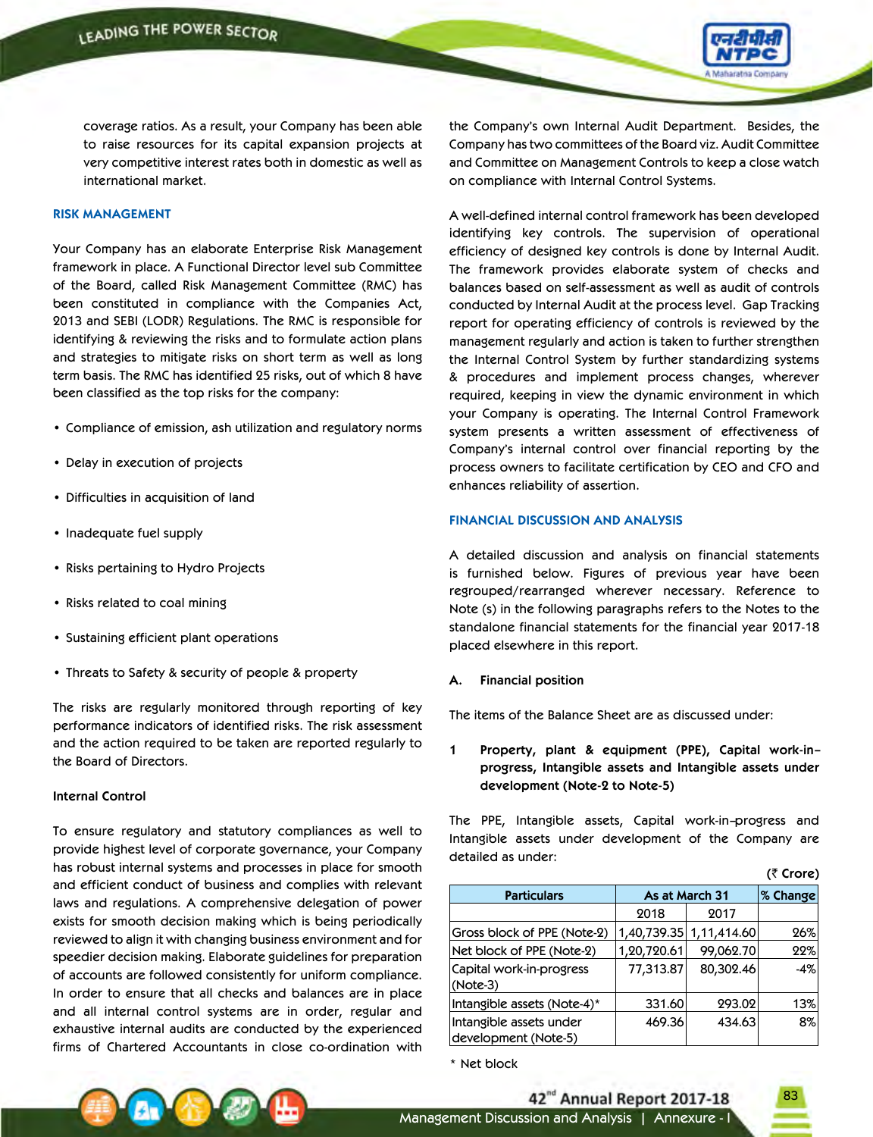

coverage ratios. As a result, your Company has been able to raise resources for its capital expansion projects at very competitive interest rates both in domestic as well as international market.

### **RISK MANAGEMENT**

Your Company has an elaborate Enterprise Risk Management framework in place. A Functional Director level sub Committee of the Board, called Risk Management Committee (RMC) has been constituted in compliance with the Companies Act, 2013 and SEBI (LODR) Regulations. The RMC is responsible for identifying & reviewing the risks and to formulate action plans and strategies to mitigate risks on short term as well as long term basis. The RMC has identified 25 risks, out of which 8 have been classified as the top risks for the company:

- • Compliance of emission, ash utilization and regulatory norms
- Delay in execution of projects
- • Difficulties in acquisition of land
- • Inadequate fuel supply
- • Risks pertaining to Hydro Projects
- • Risks related to coal mining
- • Sustaining efficient plant operations
- Threats to Safety & security of people & property

The risks are regularly monitored through reporting of key performance indicators of identified risks. The risk assessment and the action required to be taken are reported regularly to the Board of Directors.

#### **Internal Control**

To ensure regulatory and statutory compliances as well to provide highest level of corporate governance, your Company has robust internal systems and processes in place for smooth and efficient conduct of business and complies with relevant laws and regulations. A comprehensive delegation of power exists for smooth decision making which is being periodically reviewed to align it with changing business environment and for speedier decision making. Elaborate guidelines for preparation of accounts are followed consistently for uniform compliance. In order to ensure that all checks and balances are in place and all internal control systems are in order, regular and exhaustive internal audits are conducted by the experienced firms of Chartered Accountants in close co-ordination with

the Company's own Internal Audit Department. Besides, the Company has two committees of the Board viz. Audit Committee and Committee on Management Controls to keep a close watch on compliance with Internal Control Systems.

A well-defined internal control framework has been developed identifying key controls. The supervision of operational efficiency of designed key controls is done by Internal Audit. The framework provides elaborate system of checks and balances based on self-assessment as well as audit of controls conducted by Internal Audit at the process level. Gap Tracking report for operating efficiency of controls is reviewed by the management regularly and action is taken to further strengthen the Internal Control System by further standardizing systems & procedures and implement process changes, wherever required, keeping in view the dynamic environment in which your Company is operating. The Internal Control Framework system presents a written assessment of effectiveness of Company's internal control over financial reporting by the process owners to facilitate certification by CEO and CFO and enhances reliability of assertion.

### **FINANCIAL DISCUSSION AND ANALYSIS**

A detailed discussion and analysis on financial statements is furnished below. Figures of previous year have been regrouped/rearranged wherever necessary. Reference to Note (s) in the following paragraphs refers to the Notes to the standalone financial statements for the financial year 2017-18 placed elsewhere in this report.

#### **Financial position**

The items of the Balance Sheet are as discussed under:

**1 Property, plant & equipment (PPE), Capital work-in– progress, Intangible assets and Intangible assets under development (Note-2 to Note-5)**

The PPE, Intangible assets, Capital work-in–progress and Intangible assets under development of the Company are detailed as under:

|                                                 |                |             | (₹ Crore) |
|-------------------------------------------------|----------------|-------------|-----------|
| <b>Particulars</b>                              | As at March 31 |             | % Change  |
|                                                 | 2018           | 2017        |           |
| Gross block of PPE (Note-2)                     | 1,40,739.35    | 1,11,414.60 | 26%       |
| Net block of PPE (Note-2)                       | 1,20,720.61    | 99,062.70   | 22%       |
| Capital work-in-progress<br>(Note-3)            | 77,313.87      | 80,302.46   | $-4%$     |
| Intangible assets (Note-4)*                     | 331.60         | 293.02      | 13%       |
| Intangible assets under<br>development (Note-5) | 469.36         | 434.63      | 8%        |

\* Net block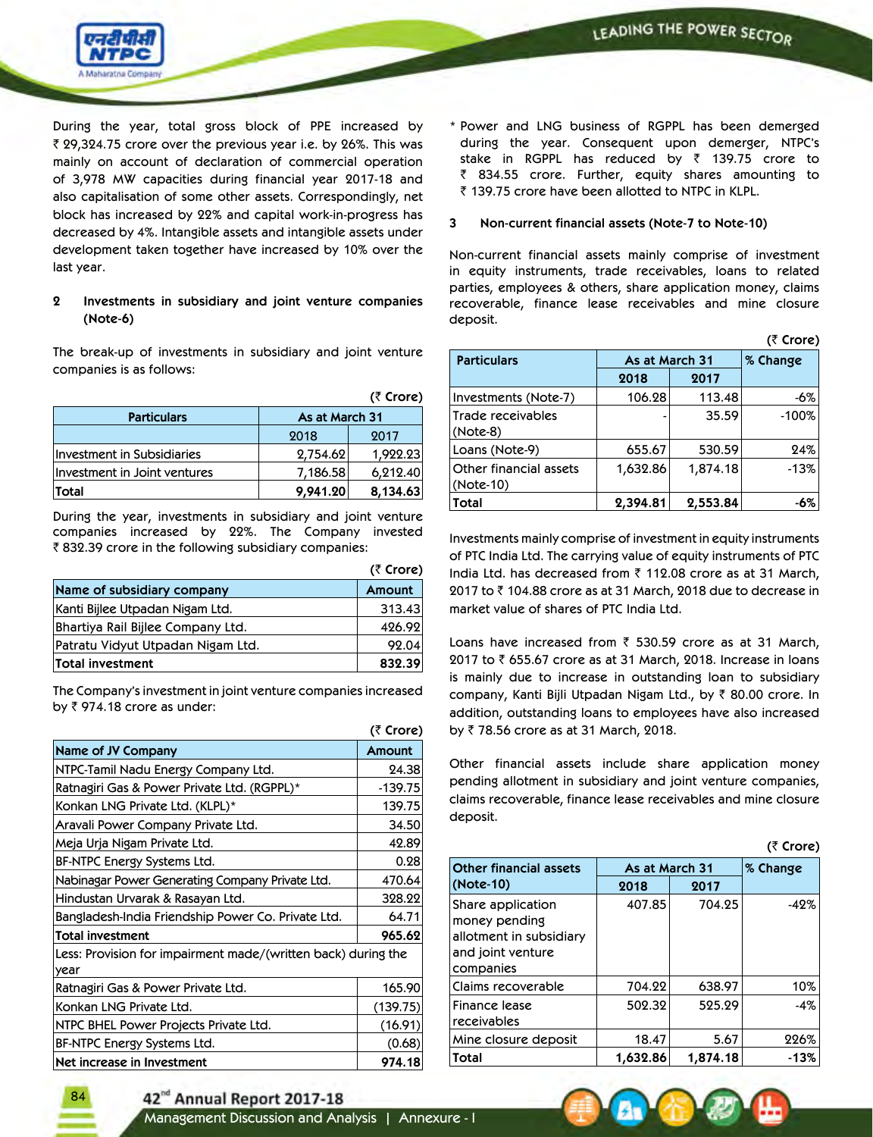

During the year, total gross block of PPE increased by ₹ 29,324.75 crore over the previous year i.e. by 26%. This was mainly on account of declaration of commercial operation of 3,978 MW capacities during financial year 2017-18 and also capitalisation of some other assets. Correspondingly, net block has increased by 22% and capital work-in-progress has decreased by 4%. Intangible assets and intangible assets under development taken together have increased by 10% over the last year.

## **2 Investments in subsidiary and joint venture companies (Note-6)**

The break-up of investments in subsidiary and joint venture companies is as follows:

|                              |                | (₹ Crore) |
|------------------------------|----------------|-----------|
| <b>Particulars</b>           | As at March 31 |           |
|                              | 2018           | 2017      |
| Investment in Subsidiaries   | 2,754.62       | 1,922.23  |
| Investment in Joint ventures | 7,186.58       | 6,212.40  |
| <b>Total</b>                 | 9,941.20       | 8,134.63  |

During the year, investments in subsidiary and joint venture companies increased by 22%. The Company invested ₹832.39 crore in the following subsidiary companies:

|                                   | $(5$ Crore) |
|-----------------------------------|-------------|
| Name of subsidiary company        | Amount      |
| Kanti Bijlee Utpadan Nigam Ltd.   | 313.43      |
| Bhartiya Rail Bijlee Company Ltd. | 426.92      |
| Patratu Vidyut Utpadan Nigam Ltd. | 92.04       |
| Total investment                  | 832.39      |

The Company's investment in joint venture companies increased by  $\bar{z}$  974.18 crore as under:

|                                                                       | (₹ Crore) |
|-----------------------------------------------------------------------|-----------|
| <b>Name of JV Company</b>                                             | Amount    |
| NTPC-Tamil Nadu Energy Company Ltd.                                   | 24.38     |
| Ratnagiri Gas & Power Private Ltd. (RGPPL)*                           | $-139.75$ |
| Konkan LNG Private Ltd. (KLPL)*                                       | 139.75    |
| Aravali Power Company Private Ltd.                                    | 34.50     |
| Meja Urja Nigam Private Ltd.                                          | 42.89     |
| BF-NTPC Energy Systems Ltd.                                           | 0.28      |
| Nabinagar Power Generating Company Private Ltd.                       | 470.64    |
| Hindustan Urvarak & Rasayan Ltd.                                      | 328.22    |
| Bangladesh-India Friendship Power Co. Private Ltd.                    | 64.71     |
| Total investment                                                      | 965.62    |
| Less: Provision for impairment made/(written back) during the<br>year |           |
| Ratnagiri Gas & Power Private Ltd.                                    | 165.90    |
| Konkan LNG Private Ltd.                                               | (139.75)  |
| NTPC BHEL Power Projects Private Ltd.                                 | (16.91)   |
| BF-NTPC Energy Systems Ltd.                                           | (0.68)    |
| Net increase in Investment                                            | 974.18    |

\* Power and LNG business of RGPPL has been demerged during the year. Consequent upon demerger, NTPC's stake in RGPPL has reduced by  $\bar{z}$  139.75 crore to ₹ 834.55 crore. Further, equity shares amounting to ₹ 139.75 crore have been allotted to NTPC in KLPL.

### **3 Non-current financial assets (Note-7 to Note-10)**

Non-current financial assets mainly comprise of investment in equity instruments, trade receivables, loans to related parties, employees & others, share application money, claims recoverable, finance lease receivables and mine closure deposit.

| (₹ Crore)                           |                |          |         |  |
|-------------------------------------|----------------|----------|---------|--|
| <b>Particulars</b>                  | As at March 31 | % Change |         |  |
|                                     | 2018           | 2017     |         |  |
| Investments (Note-7)                | 106.28         | 113.48   | -6%     |  |
| Trade receivables<br>$(Note-8)$     |                | 35.59    | $-100%$ |  |
| Loans (Note-9)                      | 655.67         | 530.59   | 24%     |  |
| Other financial assets<br>(Note-10) | 1,632.86       | 1,874.18 | $-13%$  |  |
| Total                               | 2,394.81       | 2,553.84 | -6%     |  |

Investments mainly comprise of investment in equity instruments of PTC India Ltd. The carrying value of equity instruments of PTC India Ltd. has decreased from  $\bar{\tau}$  112.08 crore as at 31 March,  $2017$  to  $\bar{z}$  104.88 crore as at 31 March, 2018 due to decrease in market value of shares of PTC India Ltd.

Loans have increased from  $\bar{\tau}$  530.59 crore as at 31 March, 2017 to  $\bar{\tau}$  655.67 crore as at 31 March, 2018. Increase in loans is mainly due to increase in outstanding loan to subsidiary company, Kanti Bijli Utpadan Nigam Ltd., by  $\bar{\tau}$  80.00 crore. In addition, outstanding loans to employees have also increased by ₹78.56 crore as at 31 March, 2018.

Other financial assets include share application money pending allotment in subsidiary and joint venture companies, claims recoverable, finance lease receivables and mine closure deposit.

|                                                                                                 |                |          | (₹ Crore) |  |
|-------------------------------------------------------------------------------------------------|----------------|----------|-----------|--|
| <b>Other financial assets</b>                                                                   | As at March 31 |          | % Change  |  |
| (Note-10)                                                                                       | 2018           | 2017     |           |  |
| Share application<br>money pending<br>allotment in subsidiary<br>and joint venture<br>companies | 407.85         | 704.25   | $-42%$    |  |
| Claims recoverable                                                                              | 704.22         | 638.97   | 10%       |  |
| Finance lease<br>receivables                                                                    | 502.32         | 525.29   | $-4%$     |  |
| Mine closure deposit                                                                            | 18.47          | 5.67     | 226%      |  |
| Total                                                                                           | 1,632.86       | 1,874.18 | $-13%$    |  |



84

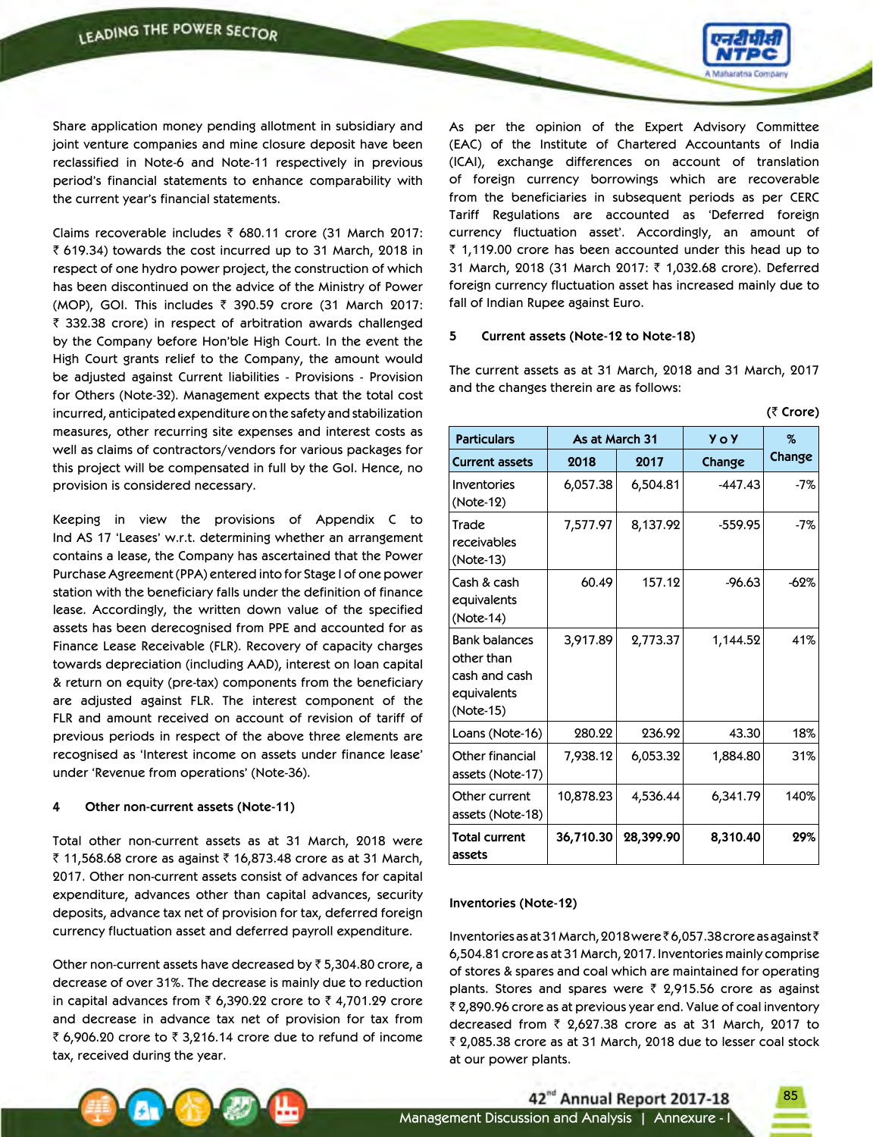

 $(\bar{z}$   $Cron)$ 

Share application money pending allotment in subsidiary and joint venture companies and mine closure deposit have been reclassified in Note-6 and Note-11 respectively in previous period's financial statements to enhance comparability with the current year's financial statements.

Claims recoverable includes  $\bar{\tau}$  680.11 crore (31 March 2017:  $\bar{\tau}$  619.34) towards the cost incurred up to 31 March, 2018 in respect of one hydro power project, the construction of which has been discontinued on the advice of the Ministry of Power (MOP), GOI. This includes  $\bar{\tau}$  390.59 crore (31 March 2017: ₹ 332.38 crore) in respect of arbitration awards challenged by the Company before Hon'ble High Court. In the event the High Court grants relief to the Company, the amount would be adjusted against Current liabilities - Provisions - Provision for Others (Note-32). Management expects that the total cost incurred, anticipated expenditure on the safety and stabilization measures, other recurring site expenses and interest costs as well as claims of contractors/vendors for various packages for this project will be compensated in full by the GoI. Hence, no provision is considered necessary.

Keeping in view the provisions of Appendix C to Ind AS 17 'Leases' w.r.t. determining whether an arrangement contains a lease, the Company has ascertained that the Power Purchase Agreement (PPA) entered into for Stage I of one power station with the beneficiary falls under the definition of finance lease. Accordingly, the written down value of the specified assets has been derecognised from PPE and accounted for as Finance Lease Receivable (FLR). Recovery of capacity charges towards depreciation (including AAD), interest on loan capital & return on equity (pre-tax) components from the beneficiary are adjusted against FLR. The interest component of the FLR and amount received on account of revision of tariff of previous periods in respect of the above three elements are recognised as 'Interest income on assets under finance lease' under 'Revenue from operations' (Note-36).

#### **4 Other non-current assets (Note-11)**

Total other non-current assets as at 31 March, 2018 were ₹ 11,568.68 crore as against ₹ 16,873.48 crore as at 31 March, 2017. Other non-current assets consist of advances for capital expenditure, advances other than capital advances, security deposits, advance tax net of provision for tax, deferred foreign currency fluctuation asset and deferred payroll expenditure.

Other non-current assets have decreased by  $\bar{\tau}$  5,304.80 crore, a decrease of over 31%. The decrease is mainly due to reduction in capital advances from  $\bar{\tau}$  6,390.22 crore to  $\bar{\tau}$  4,701.29 crore and decrease in advance tax net of provision for tax from ₹ 6,906.20 crore to ₹ 3,216.14 crore due to refund of income tax, received during the year.

As per the opinion of the Expert Advisory Committee (EAC) of the Institute of Chartered Accountants of India (ICAI), exchange differences on account of translation of foreign currency borrowings which are recoverable from the beneficiaries in subsequent periods as per CERC Tariff Regulations are accounted as 'Deferred foreign currency fluctuation asset'. Accordingly, an amount of  $\bar{z}$  1,119.00 crore has been accounted under this head up to 31 March, 2018 (31 March 2017: ₹ 1,032.68 crore). Deferred foreign currency fluctuation asset has increased mainly due to fall of Indian Rupee against Euro.

### **5 Current assets (Note-12 to Note-18)**

The current assets as at 31 March, 2018 and 31 March, 2017 and the changes therein are as follows:

| <b>Particulars</b>                                                              | As at March 31 |           | <b>Yo Y</b> | $\%$   |
|---------------------------------------------------------------------------------|----------------|-----------|-------------|--------|
| <b>Current assets</b>                                                           | 2018           | 2017      | Change      | Change |
| Inventories<br>(Note-12)                                                        | 6,057.38       | 6,504.81  | $-447.43$   | $-7%$  |
| Trade<br>receivables<br>(Note-13)                                               | 7,577.97       | 8,137.92  | $-559.95$   | $-7%$  |
| Cash & cash<br>equivalents<br>(Note-14)                                         | 60.49          | 157.12    | $-96.63$    | $-62%$ |
| <b>Bank balances</b><br>other than<br>cash and cash<br>equivalents<br>(Note-15) | 3,917.89       | 2,773.37  | 1,144.52    | 41%    |
| Loans (Note-16)                                                                 | 280.22         | 236.92    | 43.30       | 18%    |
| Other financial<br>assets (Note-17)                                             | 7,938.12       | 6,053.32  | 1,884.80    | 31%    |
| Other current<br>assets (Note-18)                                               | 10,878.23      | 4,536.44  | 6,341.79    | 140%   |
| <b>Total current</b><br>assets                                                  | 36,710.30      | 28,399.90 | 8,310.40    | 29%    |

#### **Inventories (Note-12)**

Inventories as at 31 March, 2018 were  $\bar{\epsilon}$  6,057.38 crore as against  $\bar{\epsilon}$ 6,504.81 crore as at 31 March, 2017. Inventories mainly comprise of stores & spares and coal which are maintained for operating plants. Stores and spares were  $\bar{\tau}$  2,915.56 crore as against ₹ 2,890.96 crore as at previous year end. Value of coal inventory decreased from  $\bar{\tau}$  2,627.38 crore as at 31 March, 2017 to ₹ 2,085.38 crore as at 31 March, 2018 due to lesser coal stock at our power plants.

42<sup>nd</sup> Annual Report 2017-18

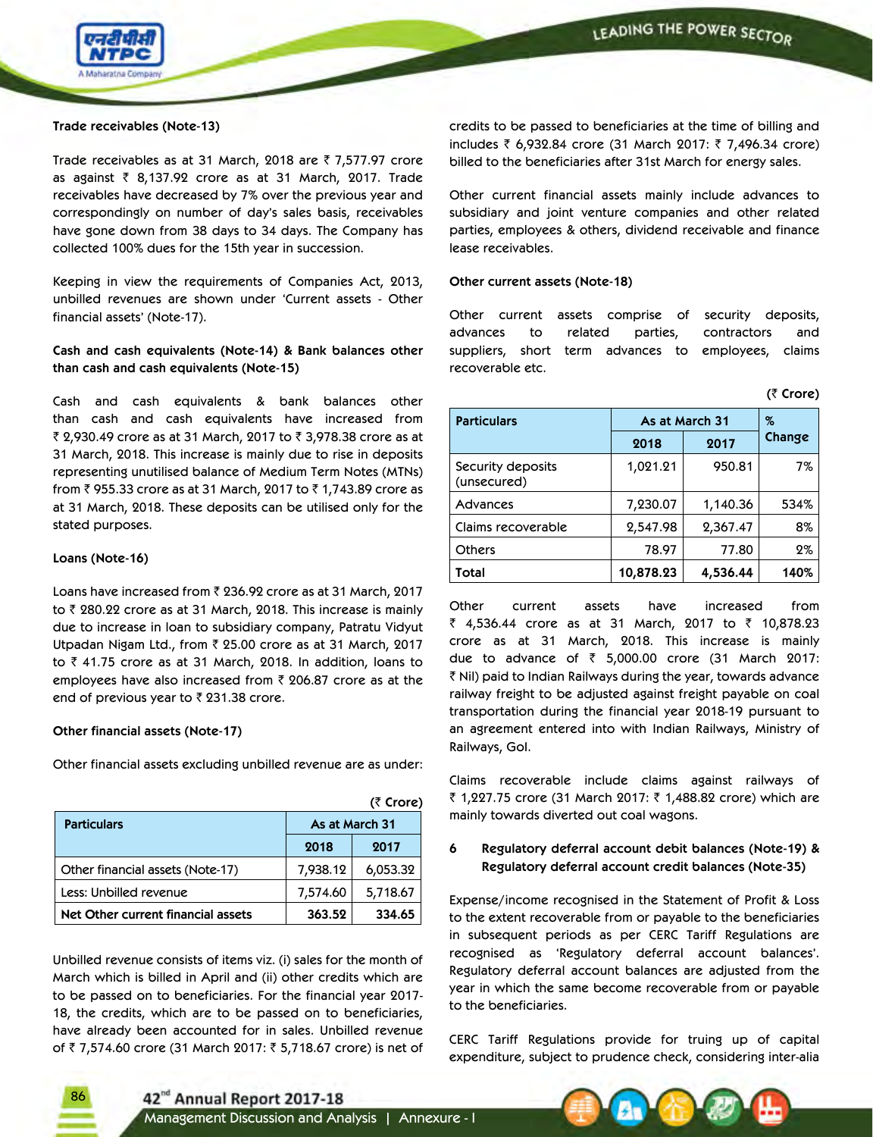

### **Trade receivables (Note-13)**

Trade receivables as at 31 March, 2018 are  $\bar{z}$  7,577.97 crore as against  $\bar{\tau}$  8,137.92 crore as at 31 March, 2017. Trade receivables have decreased by 7% over the previous year and correspondingly on number of day's sales basis, receivables have gone down from 38 days to 34 days. The Company has collected 100% dues for the 15th year in succession.

Keeping in view the requirements of Companies Act, 2013, unbilled revenues are shown under 'Current assets - Other financial assets' (Note-17).

**Cash and cash equivalents (Note-14) & Bank balances other than cash and cash equivalents (Note-15)**

Cash and cash equivalents & bank balances other than cash and cash equivalents have increased from ₹ 2,930.49 crore as at 31 March, 2017 to ₹ 3,978.38 crore as at 31 March, 2018. This increase is mainly due to rise in deposits representing unutilised balance of Medium Term Notes (MTNs) from ₹ 955.33 crore as at 31 March, 2017 to ₹ 1,743.89 crore as at 31 March, 2018. These deposits can be utilised only for the stated purposes.

### **Loans (Note-16)**

86

Loans have increased from  $\bar{\tau}$  236.92 crore as at 31 March, 2017 to  $\bar{\tau}$  280.22 crore as at 31 March, 2018. This increase is mainly due to increase in loan to subsidiary company, Patratu Vidyut Utpadan Nigam Ltd., from  $\bar{\tau}$  25.00 crore as at 31 March, 2017 to  $\bar{z}$  41.75 crore as at 31 March, 2018. In addition, loans to employees have also increased from  $\bar{\tau}$  206.87 crore as at the end of previous year to  $\bar{\zeta}$  231.38 crore.

#### **Other financial assets (Note-17)**

Other financial assets excluding unbilled revenue are as under:

|                                    |                | (₹ Crore) |
|------------------------------------|----------------|-----------|
| <b>Particulars</b>                 | As at March 31 |           |
|                                    | 2018           | 2017      |
| Other financial assets (Note-17)   | 7,938.12       | 6,053.32  |
| Less: Unbilled revenue             | 7,574.60       | 5,718.67  |
| Net Other current financial assets | 363.52         | 334.65    |

Unbilled revenue consists of items viz. (i) sales for the month of March which is billed in April and (ii) other credits which are to be passed on to beneficiaries. For the financial year 2017- 18, the credits, which are to be passed on to beneficiaries, have already been accounted for in sales. Unbilled revenue of ₹7,574.60 crore (31 March 2017: ₹5,718.67 crore) is net of

credits to be passed to beneficiaries at the time of billing and includes ₹ 6,932.84 crore (31 March 2017: ₹ 7,496.34 crore) billed to the beneficiaries after 31st March for energy sales.

Other current financial assets mainly include advances to subsidiary and joint venture companies and other related parties, employees & others, dividend receivable and finance lease receivables.

#### **Other current assets (Note-18)**

Other current assets comprise of security deposits, advances to related parties, contractors and suppliers, short term advances to employees, claims recoverable etc.

 $(F$   $C$  $O$  $O$ 

|                                  |           |                | $\cup$ $\cup$ $\cup$ |  |
|----------------------------------|-----------|----------------|----------------------|--|
| <b>Particulars</b>               |           | As at March 31 | $\%$                 |  |
|                                  | 2018      | 2017           | Change               |  |
| Security deposits<br>(unsecured) | 1,021.21  | 950.81         | $7\%$                |  |
| Advances                         | 7,230.07  | 1,140.36       | 534%                 |  |
| Claims recoverable               | 2,547.98  | 2,367.47       | 8%                   |  |
| <b>Others</b>                    | 78.97     | 77.80          | 2%                   |  |
| Total                            | 10,878.23 | 4,536.44       | 140%                 |  |

Other current assets have increased from ₹ 4,536.44 crore as at 31 March, 2017 to ₹ 10,878.23 crore as at 31 March, 2018. This increase is mainly due to advance of  $\bar{\tau}$  5,000.00 crore (31 March 2017: ₹ Nil) paid to Indian Railways during the year, towards advance railway freight to be adjusted against freight payable on coal transportation during the financial year 2018-19 pursuant to an agreement entered into with Indian Railways, Ministry of Railways, GoI.

Claims recoverable include claims against railways of ₹ 1,227.75 crore (31 March 2017: ₹ 1,488.82 crore) which are mainly towards diverted out coal wagons.

## **6 Regulatory deferral account debit balances (Note-19) & Regulatory deferral account credit balances (Note-35)**

Expense/income recognised in the Statement of Profit & Loss to the extent recoverable from or payable to the beneficiaries in subsequent periods as per CERC Tariff Regulations are recognised as 'Regulatory deferral account balances'. Regulatory deferral account balances are adjusted from the year in which the same become recoverable from or payable to the beneficiaries.

CERC Tariff Regulations provide for truing up of capital expenditure, subject to prudence check, considering inter-alia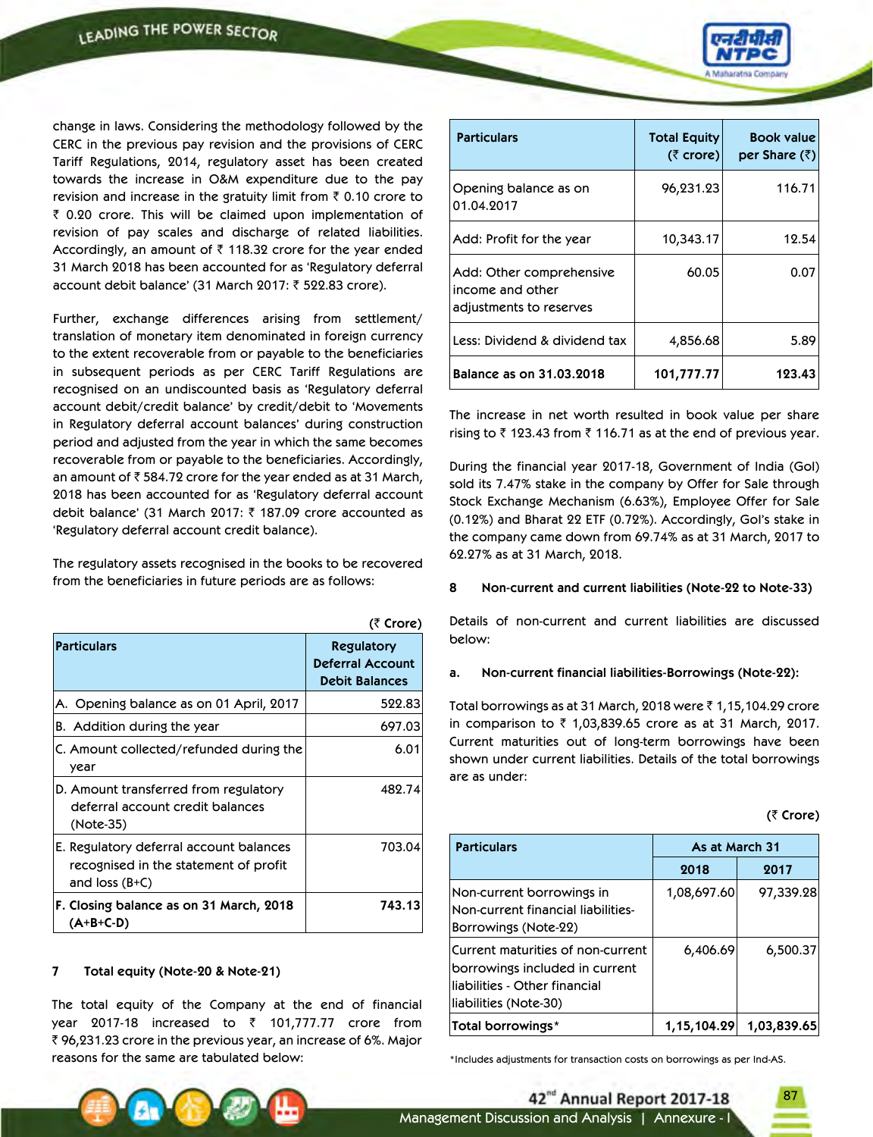change in laws. Considering the methodology followed by the CERC in the previous pay revision and the provisions of CERC Tariff Regulations, 2014, regulatory asset has been created towards the increase in O&M expenditure due to the pay revision and increase in the gratuity limit from  $\bar{\tau}$  0.10 crore to  $\bar{z}$  0.20 crore. This will be claimed upon implementation of revision of pay scales and discharge of related liabilities. Accordingly, an amount of  $\bar{\tau}$  118.32 crore for the year ended 31 March 2018 has been accounted for as 'Regulatory deferral account debit balance' (31 March 2017: ₹ 522.83 crore).

Further, exchange differences arising from settlement/ translation of monetary item denominated in foreign currency to the extent recoverable from or payable to the beneficiaries in subsequent periods as per CERC Tariff Regulations are recognised on an undiscounted basis as 'Regulatory deferral account debit/credit balance' by credit/debit to 'Movements in Regulatory deferral account balances' during construction period and adjusted from the year in which the same becomes recoverable from or payable to the beneficiaries. Accordingly, an amount of  $\bar{\tau}$  584.72 crore for the year ended as at 31 March, 2018 has been accounted for as 'Regulatory deferral account debit balance' (31 March 2017:  $\bar{\tau}$  187.09 crore accounted as 'Regulatory deferral account credit balance).

The regulatory assets recognised in the books to be recovered from the beneficiaries in future periods are as follows:

|                                                                                                      | (₹ Crore)                                                             |
|------------------------------------------------------------------------------------------------------|-----------------------------------------------------------------------|
| <b>Particulars</b>                                                                                   | <b>Regulatory</b><br><b>Deferral Account</b><br><b>Debit Balances</b> |
| A. Opening balance as on 01 April, 2017                                                              | 522.83                                                                |
| B. Addition during the year                                                                          | 697.03                                                                |
| C. Amount collected/refunded during the<br>year                                                      | 6.01                                                                  |
| D. Amount transferred from regulatory<br>deferral account credit balances<br>(Note-35)               | 482.74                                                                |
| E. Regulatory deferral account balances<br>recognised in the statement of profit<br>and loss $(B+C)$ | 703.04                                                                |
| F. Closing balance as on 31 March, 2018<br>$(A+B+C-D)$                                               | 743.13                                                                |

#### **7 Total equity (Note-20 & Note-21)**

The total equity of the Company at the end of financial year 2017-18 increased to  $\bar{z}$  101,777.77 crore from ₹ 96,231.23 crore in the previous year, an increase of 6%. Major reasons for the same are tabulated below: \*Includes adjustments for transaction costs on borrowings as per Ind-AS.



| <b>Particulars</b>                                                      | <b>Total Equity</b><br>( $\bar{\zeta}$ crore) | <b>Book value</b><br>per Share $(\bar{z})$ |
|-------------------------------------------------------------------------|-----------------------------------------------|--------------------------------------------|
| Opening balance as on<br>01.04.2017                                     | 96,231.23                                     | 116.71                                     |
| Add: Profit for the year                                                | 10,343.17                                     | 12.54                                      |
| Add: Other comprehensive<br>income and other<br>adjustments to reserves | 60.05                                         | 0.07                                       |
| Less: Dividend & dividend tax                                           | 4,856.68                                      | 5.89                                       |
| Balance as on 31.03.2018                                                | 101,777.77                                    | 123.43                                     |

The increase in net worth resulted in book value per share rising to  $\bar{z}$  123.43 from  $\bar{z}$  116.71 as at the end of previous year.

During the financial year 2017-18, Government of India (GoI) sold its 7.47% stake in the company by Offer for Sale through Stock Exchange Mechanism (6.63%), Employee Offer for Sale (0.12%) and Bharat 22 ETF (0.72%). Accordingly, GoI's stake in the company came down from 69.74% as at 31 March, 2017 to 62.27% as at 31 March, 2018.

### **8 Non-current and current liabilities (Note-22 to Note-33)**

Details of non-current and current liabilities are discussed below:

#### **a. Non-current financial liabilities-Borrowings (Note-22):**

Total borrowings as at 31 March, 2018 were  $\bar{\zeta}$  1,15,104.29 crore in comparison to  $\bar{z}$  1,03,839.65 crore as at 31 March, 2017. Current maturities out of long-term borrowings have been shown under current liabilities. Details of the total borrowings are as under:

|  | (₹ Crore) |  |
|--|-----------|--|
|--|-----------|--|

87

| <b>Particulars</b>                                                                                                            | As at March 31 |             |
|-------------------------------------------------------------------------------------------------------------------------------|----------------|-------------|
|                                                                                                                               | 2018           | 2017        |
| Non-current borrowings in<br>Non-current financial liabilities-<br>Borrowings (Note-22)                                       | 1,08,697.60    | 97,339.28   |
| Current maturities of non-current<br>borrowings included in current<br>liabilities - Other financial<br>liabilities (Note-30) | 6,406.69       | 6,500.37    |
| Total borrowings*                                                                                                             | 1,15,104.29    | 1,03,839.65 |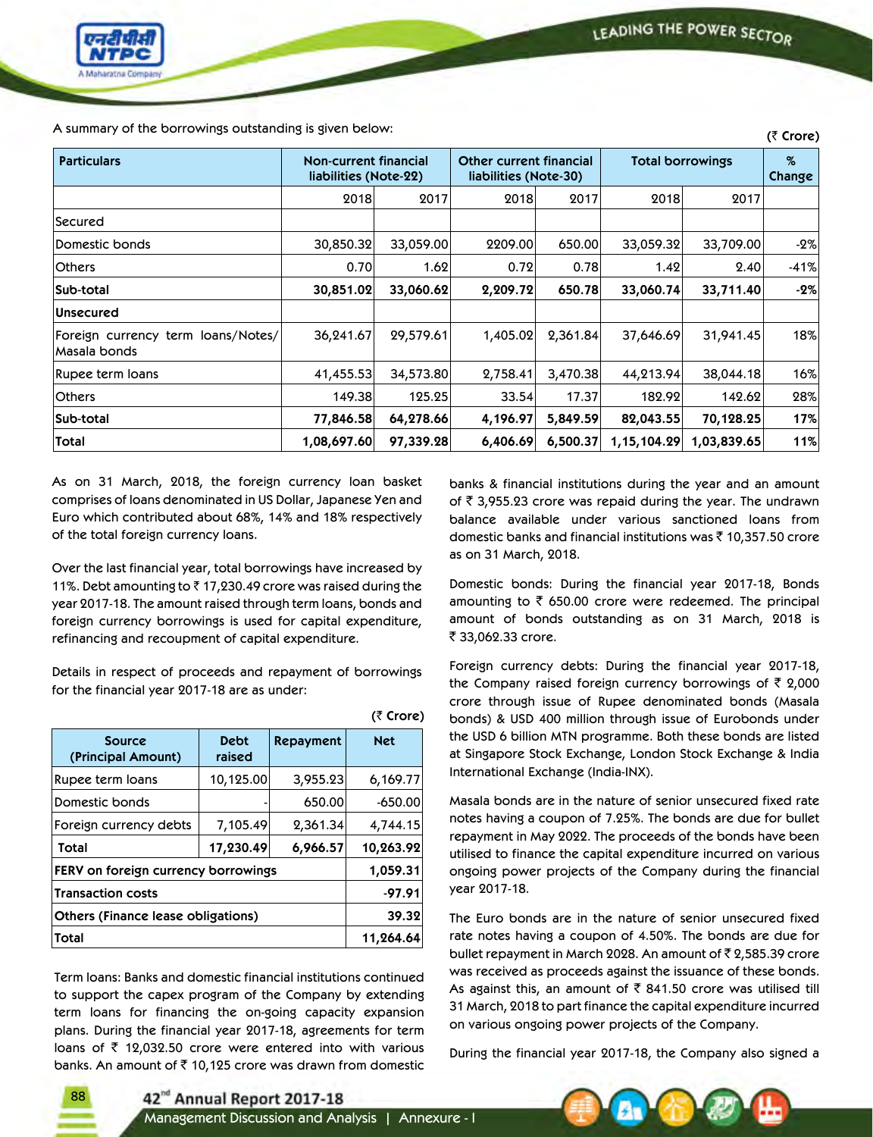

**(**` **Crore)** A summary of the borrowings outstanding is given below:

|                                                     |                                                |           |                                                         |          |                         |             | $(1)$ crois)   |
|-----------------------------------------------------|------------------------------------------------|-----------|---------------------------------------------------------|----------|-------------------------|-------------|----------------|
| <b>Particulars</b>                                  | Non-current financial<br>liabilities (Note-22) |           | <b>Other current financial</b><br>liabilities (Note-30) |          | <b>Total borrowings</b> |             | $\%$<br>Change |
|                                                     | 2018                                           | 2017      | 2018                                                    | 2017     | 2018                    | 2017        |                |
| Secured                                             |                                                |           |                                                         |          |                         |             |                |
| Domestic bonds                                      | 30,850.32                                      | 33,059.00 | 2209.00                                                 | 650.00   | 33,059.32               | 33,709.00   | $-2%$          |
| <b>Others</b>                                       | 0.70                                           | 1.62      | 0.72                                                    | 0.78     | 1.42                    | 2.40        | $-41%$         |
| <b>Sub-total</b>                                    | 30,851.02                                      | 33,060.62 | 2,209.72                                                | 650.78   | 33,060.74               | 33,711.40   | $-2%$          |
| <b>Unsecured</b>                                    |                                                |           |                                                         |          |                         |             |                |
| Foreign currency term loans/Notes/<br> Masala bonds | 36,241.67                                      | 29,579.61 | 1,405.02                                                | 2,361.84 | 37,646.69               | 31,941.45   | 18%            |
| Rupee term Ioans                                    | 41,455.53                                      | 34,573.80 | 2,758.41                                                | 3,470.38 | 44,213.94               | 38,044.18   | 16%            |
| <b>Others</b>                                       | 149.38                                         | 125.25    | 33.54                                                   | 17.37    | 182.92                  | 142.62      | 28%            |
| Sub-total                                           | 77,846.58                                      | 64,278.66 | 4,196.97                                                | 5,849.59 | 82,043.55               | 70,128.25   | 17%            |
| Total                                               | 1,08,697.60                                    | 97,339.28 | 6,406.69                                                | 6,500.37 | 1,15,104.29             | 1,03,839.65 | 11%            |

**(**` **Crore)**

As on 31 March, 2018, the foreign currency loan basket comprises of loans denominated in US Dollar, Japanese Yen and Euro which contributed about 68%, 14% and 18% respectively of the total foreign currency loans.

Over the last financial year, total borrowings have increased by 11%. Debt amounting to  $\bar{\tau}$  17,230.49 crore was raised during the year 2017-18. The amount raised through term loans, bonds and foreign currency borrowings is used for capital expenditure, refinancing and recoupment of capital expenditure.

Details in respect of proceeds and repayment of borrowings for the financial year 2017-18 are as under:

| <b>Source</b><br>(Principal Amount)       | <b>Debt</b><br>raised | Repayment | <b>Net</b> |
|-------------------------------------------|-----------------------|-----------|------------|
| Rupee term loans                          | 10,125.00             | 3,955.23  | 6,169.77   |
| Domestic bonds                            |                       | 650.00    | $-650.00$  |
| Foreign currency debts                    | 7,105.49              | 2,361.34  | 4,744.15   |
| Total                                     | 17,230.49             | 6,966.57  | 10,263.92  |
| FERV on foreign currency borrowings       | 1,059.31              |           |            |
| <b>Transaction costs</b>                  |                       |           | $-97.91$   |
| <b>Others (Finance lease obligations)</b> |                       |           | 39.32      |
| Total                                     |                       |           | 11,264.64  |

Term loans: Banks and domestic financial institutions continued to support the capex program of the Company by extending term loans for financing the on-going capacity expansion plans. During the financial year 2017-18, agreements for term loans of  $\bar{\tau}$  12,032.50 crore were entered into with various banks. An amount of  $\bar{\tau}$  10,125 crore was drawn from domestic banks & financial institutions during the year and an amount of  $\bar{\tau}$  3,955.23 crore was repaid during the year. The undrawn balance available under various sanctioned loans from domestic banks and financial institutions was  $\bar{\tau}$  10,357.50 crore as on 31 March, 2018.

Domestic bonds: During the financial year 2017-18, Bonds amounting to  $\bar{\tau}$  650.00 crore were redeemed. The principal amount of bonds outstanding as on 31 March, 2018 is ₹ 33,062.33 crore.

Foreign currency debts: During the financial year 2017-18, the Company raised foreign currency borrowings of  $\bar{\tau}$  2,000 crore through issue of Rupee denominated bonds (Masala bonds) & USD 400 million through issue of Eurobonds under the USD 6 billion MTN programme. Both these bonds are listed at Singapore Stock Exchange, London Stock Exchange & India International Exchange (India-INX).

Masala bonds are in the nature of senior unsecured fixed rate notes having a coupon of 7.25%. The bonds are due for bullet repayment in May 2022. The proceeds of the bonds have been utilised to finance the capital expenditure incurred on various ongoing power projects of the Company during the financial year 2017-18.

The Euro bonds are in the nature of senior unsecured fixed rate notes having a coupon of 4.50%. The bonds are due for bullet repayment in March 2028. An amount of  $\bar{\tau}$  2,585.39 crore was received as proceeds against the issuance of these bonds. As against this, an amount of  $\bar{\tau}$  841.50 crore was utilised till 31 March, 2018 to part finance the capital expenditure incurred on various ongoing power projects of the Company.

During the financial year 2017-18, the Company also signed a



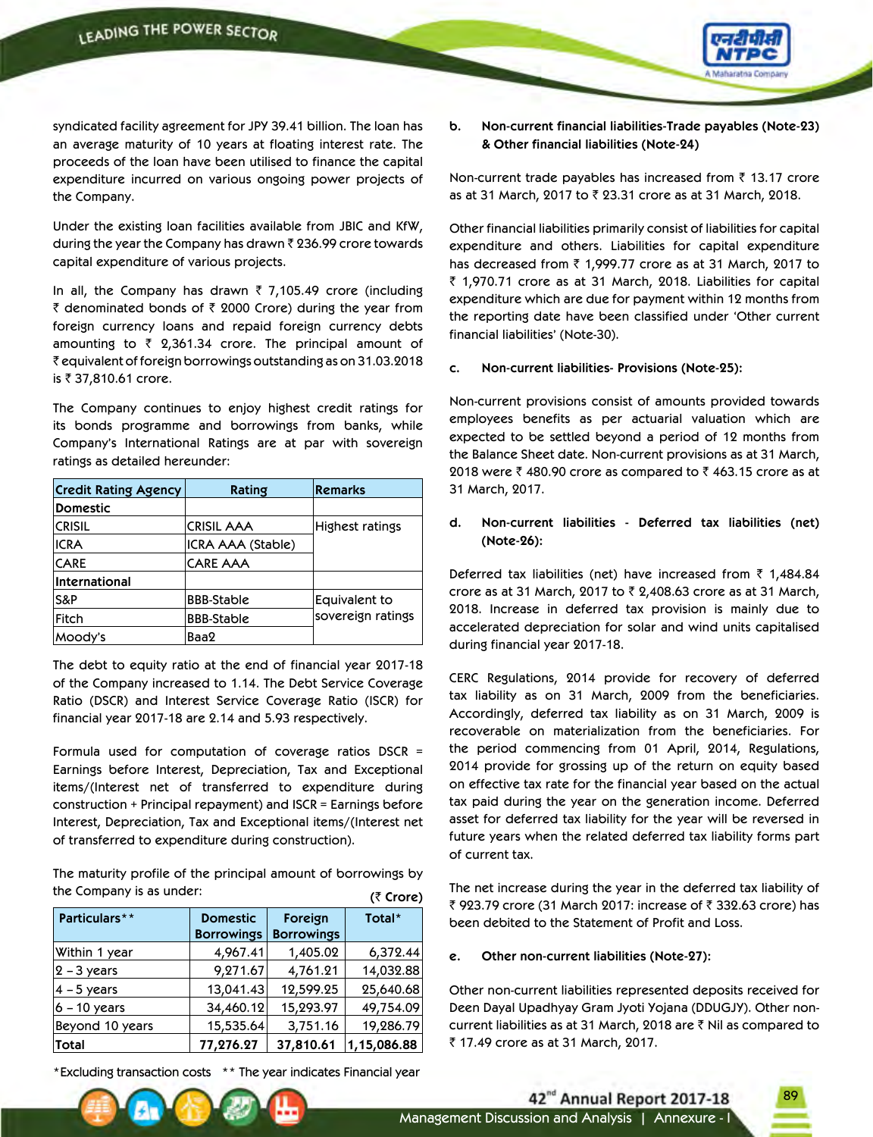

syndicated facility agreement for JPY 39.41 billion. The loan has an average maturity of 10 years at floating interest rate. The proceeds of the loan have been utilised to finance the capital expenditure incurred on various ongoing power projects of the Company.

Under the existing loan facilities available from JBIC and KfW, during the year the Company has drawn  $\bar{\tau}$  236.99 crore towards capital expenditure of various projects.

In all, the Company has drawn  $\bar{\tau}$  7,105.49 crore (including  $\bar{\tau}$  denominated bonds of  $\bar{\tau}$  2000 Crore) during the year from foreign currency loans and repaid foreign currency debts amounting to  $\bar{\tau}$  2,361.34 crore. The principal amount of ` equivalent of foreign borrowings outstanding as on 31.03.2018 is ₹ 37,810.61 crore.

The Company continues to enjoy highest credit ratings for its bonds programme and borrowings from banks, while Company's International Ratings are at par with sovereign ratings as detailed hereunder:

| <b>Credit Rating Agency</b> | Rating            | <b>Remarks</b>    |
|-----------------------------|-------------------|-------------------|
| <b>Domestic</b>             |                   |                   |
| <b>CRISIL</b>               | <b>CRISIL AAA</b> | Highest ratings   |
| <b>ICRA</b>                 | ICRA AAA (Stable) |                   |
| <b>CARE</b>                 | <b>CARE AAA</b>   |                   |
| International               |                   |                   |
| S&P                         | <b>BBB-Stable</b> | Equivalent to     |
| Fitch                       | <b>BBB-Stable</b> | sovereign ratings |
| Moody's                     | Baa2              |                   |

The debt to equity ratio at the end of financial year 2017-18 of the Company increased to 1.14. The Debt Service Coverage Ratio (DSCR) and Interest Service Coverage Ratio (ISCR) for financial year 2017-18 are 2.14 and 5.93 respectively.

Formula used for computation of coverage ratios DSCR = Earnings before Interest, Depreciation, Tax and Exceptional items/(Interest net of transferred to expenditure during construction + Principal repayment) and ISCR = Earnings before Interest, Depreciation, Tax and Exceptional items/(Interest net of transferred to expenditure during construction).

The maturity profile of the principal amount of borrowings by the Company is as under:  $(\bar{\tau}$  Crore)

|                 |                                      |                              | $\sqrt{2}$  |
|-----------------|--------------------------------------|------------------------------|-------------|
| Particulars**   | <b>Domestic</b><br><b>Borrowings</b> | Foreign<br><b>Borrowings</b> | Total*      |
| Within 1 year   | 4,967.41                             | 1,405.02                     | 6,372.44    |
| $2 - 3$ years   | 9,271.67                             | 4,761.21                     | 14,032.88   |
| $4 - 5$ years   | 13,041.43                            | 12,599.25                    | 25,640.68   |
| $6 - 10$ years  | 34,460.12                            | 15,293.97                    | 49,754.09   |
| Beyond 10 years | 15,535.64                            | 3,751.16                     | 19,286.79   |
| Total           | 77,276.27                            | 37,810.61                    | 1,15,086.88 |

\*Excluding transaction costs \*\* The year indicates Financial year

**b. Non-current financial liabilities-Trade payables (Note-23) & Other financial liabilities (Note-24)**

Non-current trade payables has increased from  $\bar{\tau}$  13.17 crore as at 31 March, 2017 to  $\bar{\tau}$  23.31 crore as at 31 March, 2018.

Other financial liabilities primarily consist of liabilities for capital expenditure and others. Liabilities for capital expenditure has decreased from  $\bar{\tau}$  1,999.77 crore as at 31 March, 2017 to  $\bar{\tau}$  1,970.71 crore as at 31 March, 2018. Liabilities for capital expenditure which are due for payment within 12 months from the reporting date have been classified under 'Other current financial liabilities' (Note-30).

**c. Non-current liabilities- Provisions (Note-25):**

Non-current provisions consist of amounts provided towards employees benefits as per actuarial valuation which are expected to be settled beyond a period of 12 months from the Balance Sheet date. Non-current provisions as at 31 March, 2018 were  $\bar{\tau}$  480.90 crore as compared to  $\bar{\tau}$  463.15 crore as at 31 March, 2017.

**d. Non-current liabilities - Deferred tax liabilities (net) (Note-26):**

Deferred tax liabilities (net) have increased from  $\bar{\tau}$  1,484.84 crore as at 31 March, 2017 to  $\bar{\tau}$  2,408.63 crore as at 31 March, 2018. Increase in deferred tax provision is mainly due to accelerated depreciation for solar and wind units capitalised during financial year 2017-18.

CERC Regulations, 2014 provide for recovery of deferred tax liability as on 31 March, 2009 from the beneficiaries. Accordingly, deferred tax liability as on 31 March, 2009 is recoverable on materialization from the beneficiaries. For the period commencing from 01 April, 2014, Regulations, 2014 provide for grossing up of the return on equity based on effective tax rate for the financial year based on the actual tax paid during the year on the generation income. Deferred asset for deferred tax liability for the year will be reversed in future years when the related deferred tax liability forms part of current tax.

The net increase during the year in the deferred tax liability of ₹ 923.79 crore (31 March 2017: increase of ₹ 332.63 crore) has been debited to the Statement of Profit and Loss.

### **e. Other non-current liabilities (Note-27):**

Other non-current liabilities represented deposits received for Deen Dayal Upadhyay Gram Jyoti Yojana (DDUGJY). Other noncurrent liabilities as at 31 March, 2018 are  $\bar{\tau}$  Nil as compared to ` 17.49 crore as at 31 March, 2017.

42<sup>nd</sup> Annual Report 2017-18

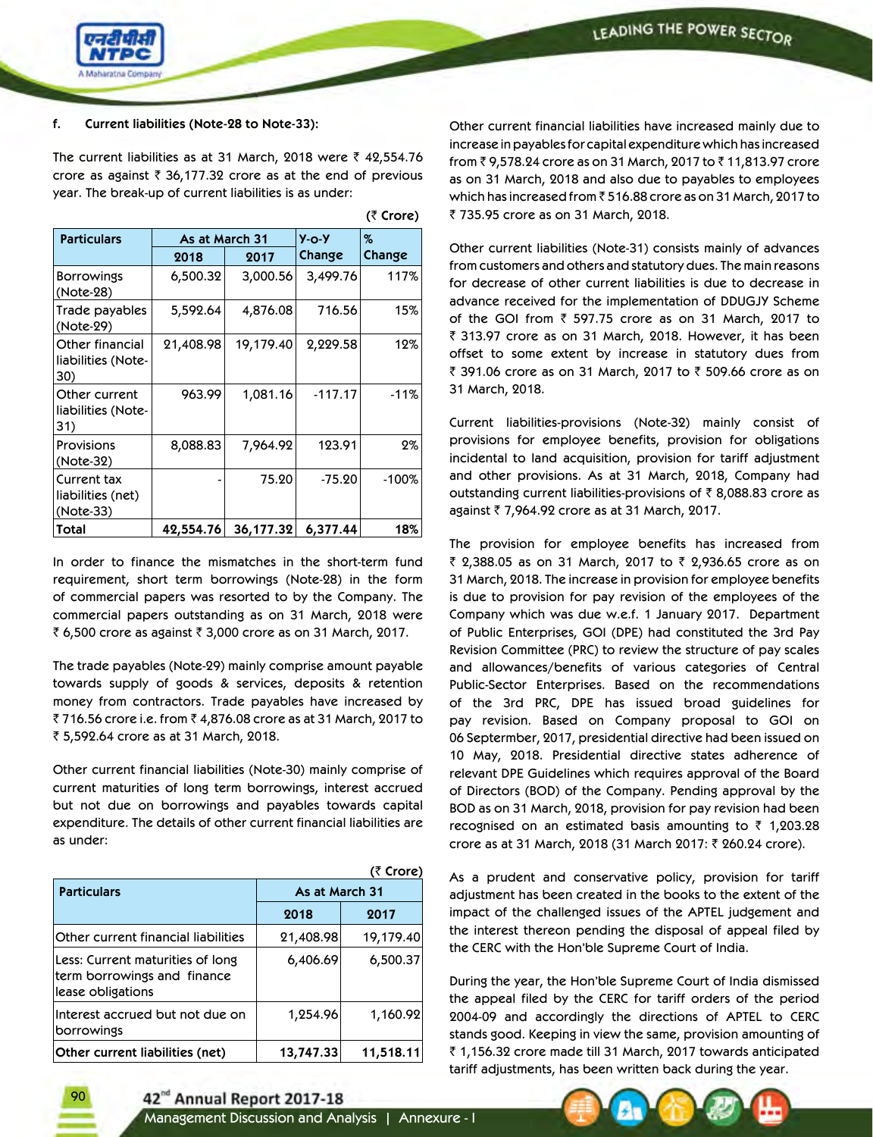

### **f. Current liabilities (Note-28 to Note-33):**

The current liabilities as at 31 March, 2018 were  $\bar{\tau}$  42,554.76 crore as against  $\bar{z}$  36,177.32 crore as at the end of previous year. The break-up of current liabilities is as under:

| <b>Particulars</b>                            | As at March 31 |           | $Y - O - Y$ | %       |  |
|-----------------------------------------------|----------------|-----------|-------------|---------|--|
|                                               | 2018           | 2017      | Change      | Change  |  |
| <b>Borrowings</b><br>(Note-28)                | 6,500.32       | 3,000.56  | 3,499.76    | 117%    |  |
| Trade payables<br>(Note-29)                   | 5,592.64       | 4,876.08  | 716.56      | 15%     |  |
| Other financial<br>liabilities (Note-<br>30)  | 21,408.98      | 19,179.40 | 2,229.58    | 12%     |  |
| Other current<br>liabilities (Note-<br>31)    | 963.99         | 1,081.16  | $-117.17$   | $-11%$  |  |
| <b>Provisions</b><br>(Note-32)                | 8,088.83       | 7,964.92  | 123.91      | 2%      |  |
| Current tax<br>liabilities (net)<br>(Note-33) |                | 75.20     | $-75.20$    | $-100%$ |  |
| Total                                         | 42,554.76      | 36,177.32 | 6,377.44    | 18%     |  |

In order to finance the mismatches in the short-term fund requirement, short term borrowings (Note-28) in the form of commercial papers was resorted to by the Company. The commercial papers outstanding as on 31 March, 2018 were ₹ 6,500 crore as against ₹ 3,000 crore as on 31 March, 2017.

The trade payables (Note-29) mainly comprise amount payable towards supply of goods & services, deposits & retention money from contractors. Trade payables have increased by ₹716.56 crore i.e. from ₹4,876.08 crore as at 31 March, 2017 to ` 5,592.64 crore as at 31 March, 2018.

Other current financial liabilities (Note-30) mainly comprise of current maturities of long term borrowings, interest accrued but not due on borrowings and payables towards capital expenditure. The details of other current financial liabilities are as under:

|                                                                                      |                | (₹ Crore) |
|--------------------------------------------------------------------------------------|----------------|-----------|
| <b>Particulars</b>                                                                   | As at March 31 |           |
|                                                                                      | 2018           | 2017      |
| Other current financial liabilities                                                  | 21,408.98      | 19,179.40 |
| Less: Current maturities of long<br>term borrowings and finance<br>lease obligations | 6,406.69       | 6,500.37  |
| Interest accrued but not due on<br>borrowings                                        | 1,254.96       | 1,160.92  |
| Other current liabilities (net)                                                      | 13,747.33      | 11,518.11 |

**(**` **Crore)**

Other current financial liabilities have increased mainly due to increase in payables for capital expenditure which has increased from ₹9,578.24 crore as on 31 March, 2017 to ₹11,813.97 crore as on 31 March, 2018 and also due to payables to employees which has increased from ₹516.88 crore as on 31 March, 2017 to ₹ 735.95 crore as on 31 March, 2018.

Other current liabilities (Note-31) consists mainly of advances from customers and others and statutory dues. The main reasons for decrease of other current liabilities is due to decrease in advance received for the implementation of DDUGJY Scheme of the GOI from  $\bar{z}$  597.75 crore as on 31 March, 2017 to ₹ 313.97 crore as on 31 March, 2018. However, it has been offset to some extent by increase in statutory dues from ₹ 391.06 crore as on 31 March, 2017 to ₹ 509.66 crore as on 31 March, 2018.

Current liabilities-provisions (Note-32) mainly consist of provisions for employee benefits, provision for obligations incidental to land acquisition, provision for tariff adjustment and other provisions. As at 31 March, 2018, Company had outstanding current liabilities-provisions of  $\bar{\tau}$  8,088.83 crore as against ` 7,964.92 crore as at 31 March, 2017.

The provision for employee benefits has increased from ₹ 2,388.05 as on 31 March, 2017 to ₹ 2,936.65 crore as on 31 March, 2018. The increase in provision for employee benefits is due to provision for pay revision of the employees of the Company which was due w.e.f. 1 January 2017. Department of Public Enterprises, GOI (DPE) had constituted the 3rd Pay Revision Committee (PRC) to review the structure of pay scales and allowances/benefits of various categories of Central Public-Sector Enterprises. Based on the recommendations of the 3rd PRC, DPE has issued broad guidelines for pay revision. Based on Company proposal to GOI on 06 Septermber, 2017, presidential directive had been issued on 10 May, 2018. Presidential directive states adherence of relevant DPE Guidelines which requires approval of the Board of Directors (BOD) of the Company. Pending approval by the BOD as on 31 March, 2018, provision for pay revision had been recognised on an estimated basis amounting to  $\bar{\tau}$  1,203.28 crore as at 31 March, 2018 (31 March 2017: ₹ 260.24 crore).

As a prudent and conservative policy, provision for tariff adjustment has been created in the books to the extent of the impact of the challenged issues of the APTEL judgement and the interest thereon pending the disposal of appeal filed by the CERC with the Hon'ble Supreme Court of India.

During the year, the Hon'ble Supreme Court of India dismissed the appeal filed by the CERC for tariff orders of the period 2004-09 and accordingly the directions of APTEL to CERC stands good. Keeping in view the same, provision amounting of ₹ 1,156.32 crore made till 31 March, 2017 towards anticipated tariff adjustments, has been written back during the year.

42<sup>nd</sup> Annual Report 2017-18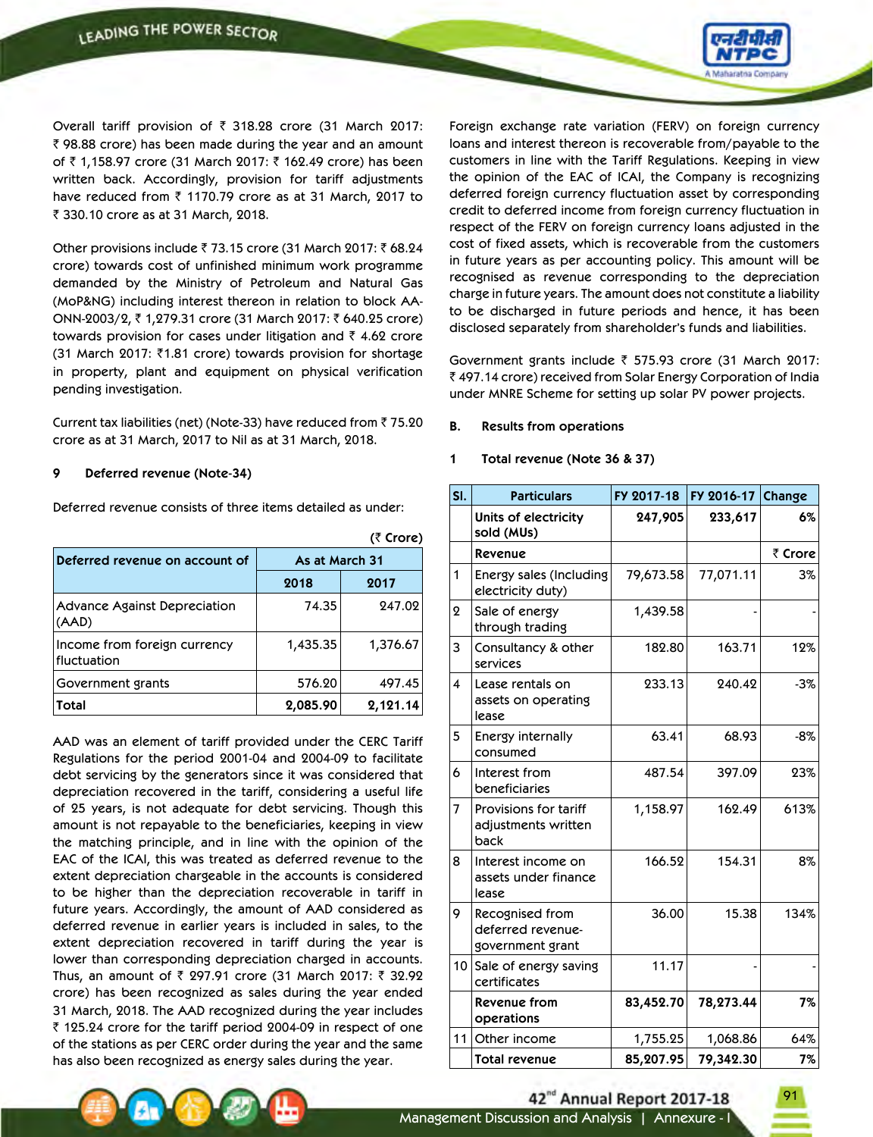

Overall tariff provision of  $\bar{\tau}$  318.28 crore (31 March 2017:  $\bar{\tau}$  98.88 crore) has been made during the year and an amount of ₹ 1,158.97 crore (31 March 2017: ₹ 162.49 crore) has been written back. Accordingly, provision for tariff adjustments have reduced from  $\bar{z}$  1170.79 crore as at 31 March, 2017 to ₹ 330.10 crore as at 31 March, 2018.

Other provisions include  $\bar{z}$  73.15 crore (31 March 2017:  $\bar{z}$  68.24 crore) towards cost of unfinished minimum work programme demanded by the Ministry of Petroleum and Natural Gas (MoP&NG) including interest thereon in relation to block AA-ONN-2003/2, ₹ 1,279.31 crore (31 March 2017: ₹ 640.25 crore) towards provision for cases under litigation and  $\bar{\tau}$  4.62 crore (31 March 2017: ₹1.81 crore) towards provision for shortage in property, plant and equipment on physical verification pending investigation.

Current tax liabilities (net) (Note-33) have reduced from  $\bar{z}$  75.20 crore as at 31 March, 2017 to Nil as at 31 March, 2018.

### **9 Deferred revenue (Note-34)**

Deferred revenue consists of three items detailed as under:

|                                              |                | (₹ Crore) |
|----------------------------------------------|----------------|-----------|
| Deferred revenue on account of               | As at March 31 |           |
|                                              | 2018           | 2017      |
| <b>Advance Against Depreciation</b><br>(AAD) | 74.35          | 247.02    |
| Income from foreign currency<br>fluctuation  | 1,435.35       | 1,376.67  |
| Government grants                            | 576.20         | 497.45    |
| Total                                        | 2,085.90       | 2,121.14  |

AAD was an element of tariff provided under the CERC Tariff Regulations for the period 2001-04 and 2004-09 to facilitate debt servicing by the generators since it was considered that depreciation recovered in the tariff, considering a useful life of 25 years, is not adequate for debt servicing. Though this amount is not repayable to the beneficiaries, keeping in view the matching principle, and in line with the opinion of the EAC of the ICAI, this was treated as deferred revenue to the extent depreciation chargeable in the accounts is considered to be higher than the depreciation recoverable in tariff in future years. Accordingly, the amount of AAD considered as deferred revenue in earlier years is included in sales, to the extent depreciation recovered in tariff during the year is lower than corresponding depreciation charged in accounts. Thus, an amount of  $\bar{\tau}$  297.91 crore (31 March 2017:  $\bar{\tau}$  32.92 crore) has been recognized as sales during the year ended 31 March, 2018. The AAD recognized during the year includes ₹ 125.24 crore for the tariff period 2004-09 in respect of one of the stations as per CERC order during the year and the same has also been recognized as energy sales during the year.

Foreign exchange rate variation (FERV) on foreign currency loans and interest thereon is recoverable from/payable to the customers in line with the Tariff Regulations. Keeping in view the opinion of the EAC of ICAI, the Company is recognizing deferred foreign currency fluctuation asset by corresponding credit to deferred income from foreign currency fluctuation in respect of the FERV on foreign currency loans adjusted in the cost of fixed assets, which is recoverable from the customers in future years as per accounting policy. This amount will be recognised as revenue corresponding to the depreciation charge in future years. The amount does not constitute a liability to be discharged in future periods and hence, it has been disclosed separately from shareholder's funds and liabilities.

Government grants include  $\bar{\tau}$  575.93 crore (31 March 2017: ₹ 497.14 crore) received from Solar Energy Corporation of India under MNRE Scheme for setting up solar PV power projects.

### **B. Results from operations**

#### **1 Total revenue (Note 36 & 37)**

| SI.              | <b>Particulars</b>                                       | FY 2017-18 | FY 2016-17 | Change  |
|------------------|----------------------------------------------------------|------------|------------|---------|
|                  | Units of electricity<br>sold (MUs)                       | 247,905    | 233,617    | 6%      |
|                  | Revenue                                                  |            |            | ₹ Crore |
| $\mathbf{1}$     | <b>Energy sales (Including</b><br>electricity duty)      | 79,673.58  | 77,071.11  | 3%      |
| $\boldsymbol{2}$ | Sale of energy<br>through trading                        | 1,439.58   |            |         |
| 3                | Consultancy & other<br>services                          | 182.80     | 163.71     | 12%     |
| $\overline{4}$   | Lease rentals on<br>assets on operating<br>lease         | 233.13     | 240.42     | $-3%$   |
| 5                | Energy internally<br>consumed                            | 63.41      | 68.93      | $-8%$   |
| 6                | Interest from<br>beneficiaries                           | 487.54     | 397.09     | 23%     |
| $\overline{7}$   | Provisions for tariff<br>adjustments written<br>back     | 1,158.97   | 162.49     | 613%    |
| 8                | Interest income on<br>assets under finance<br>lease      | 166.52     | 154.31     | 8%      |
| 9                | Recognised from<br>deferred revenue-<br>government grant | 36.00      | 15.38      | 134%    |
| 10               | Sale of energy saving<br>certificates                    | 11.17      |            |         |
|                  | <b>Revenue from</b><br>operations                        | 83,452.70  | 78,273.44  | 7%      |
| 11               | Other income                                             | 1,755.25   | 1,068.86   | 64%     |
|                  | <b>Total revenue</b>                                     | 85,207.95  | 79,342.30  | 7%      |

# 42<sup>nd</sup> Annual Report 2017-18

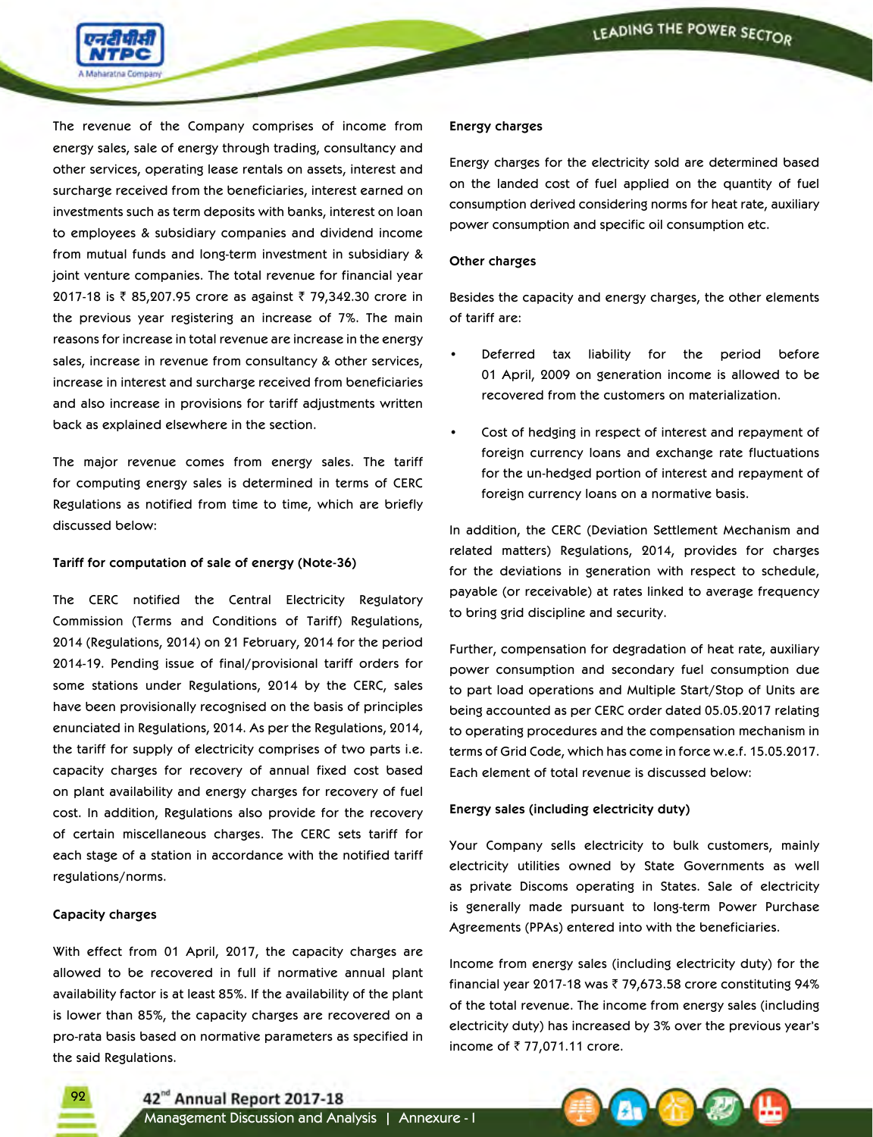

The revenue of the Company comprises of income from energy sales, sale of energy through trading, consultancy and other services, operating lease rentals on assets, interest and surcharge received from the beneficiaries, interest earned on investments such as term deposits with banks, interest on loan to employees & subsidiary companies and dividend income from mutual funds and long-term investment in subsidiary & joint venture companies. The total revenue for financial year 2017-18 is ₹ 85,207.95 crore as against ₹ 79,342.30 crore in the previous year registering an increase of 7%. The main reasons for increase in total revenue are increase in the energy sales, increase in revenue from consultancy & other services, increase in interest and surcharge received from beneficiaries and also increase in provisions for tariff adjustments written back as explained elsewhere in the section.

The major revenue comes from energy sales. The tariff for computing energy sales is determined in terms of CERC Regulations as notified from time to time, which are briefly discussed below:

#### **Tariff for computation of sale of energy (Note-36)**

The CERC notified the Central Electricity Regulatory Commission (Terms and Conditions of Tariff) Regulations, 2014 (Regulations, 2014) on 21 February, 2014 for the period 2014-19. Pending issue of final/provisional tariff orders for some stations under Regulations, 2014 by the CERC, sales have been provisionally recognised on the basis of principles enunciated in Regulations, 2014. As per the Regulations, 2014, the tariff for supply of electricity comprises of two parts i.e. capacity charges for recovery of annual fixed cost based on plant availability and energy charges for recovery of fuel cost. In addition, Regulations also provide for the recovery of certain miscellaneous charges. The CERC sets tariff for each stage of a station in accordance with the notified tariff regulations/norms.

#### **Capacity charges**

o

With effect from 01 April, 2017, the capacity charges are allowed to be recovered in full if normative annual plant availability factor is at least 85%. If the availability of the plant is lower than 85%, the capacity charges are recovered on a pro-rata basis based on normative parameters as specified in the said Regulations.

#### **Energy charges**

Energy charges for the electricity sold are determined based on the landed cost of fuel applied on the quantity of fuel consumption derived considering norms for heat rate, auxiliary power consumption and specific oil consumption etc.

#### **Other charges**

Besides the capacity and energy charges, the other elements of tariff are:

- Deferred tax liability for the period before 01 April, 2009 on generation income is allowed to be recovered from the customers on materialization.
- Cost of hedging in respect of interest and repayment of foreign currency loans and exchange rate fluctuations for the un-hedged portion of interest and repayment of foreign currency loans on a normative basis.

In addition, the CERC (Deviation Settlement Mechanism and related matters) Regulations, 2014, provides for charges for the deviations in generation with respect to schedule, payable (or receivable) at rates linked to average frequency to bring grid discipline and security.

Further, compensation for degradation of heat rate, auxiliary power consumption and secondary fuel consumption due to part load operations and Multiple Start/Stop of Units are being accounted as per CERC order dated 05.05.2017 relating to operating procedures and the compensation mechanism in terms of Grid Code, which has come in force w.e.f. 15.05.2017. Each element of total revenue is discussed below:

#### **Energy sales (including electricity duty)**

Your Company sells electricity to bulk customers, mainly electricity utilities owned by State Governments as well as private Discoms operating in States. Sale of electricity is generally made pursuant to long-term Power Purchase Agreements (PPAs) entered into with the beneficiaries.

Income from energy sales (including electricity duty) for the financial year 2017-18 was  $\bar{\tau}$  79,673.58 crore constituting 94% of the total revenue. The income from energy sales (including electricity duty) has increased by 3% over the previous year's income of  $\bar{z}$  77,071.11 crore.

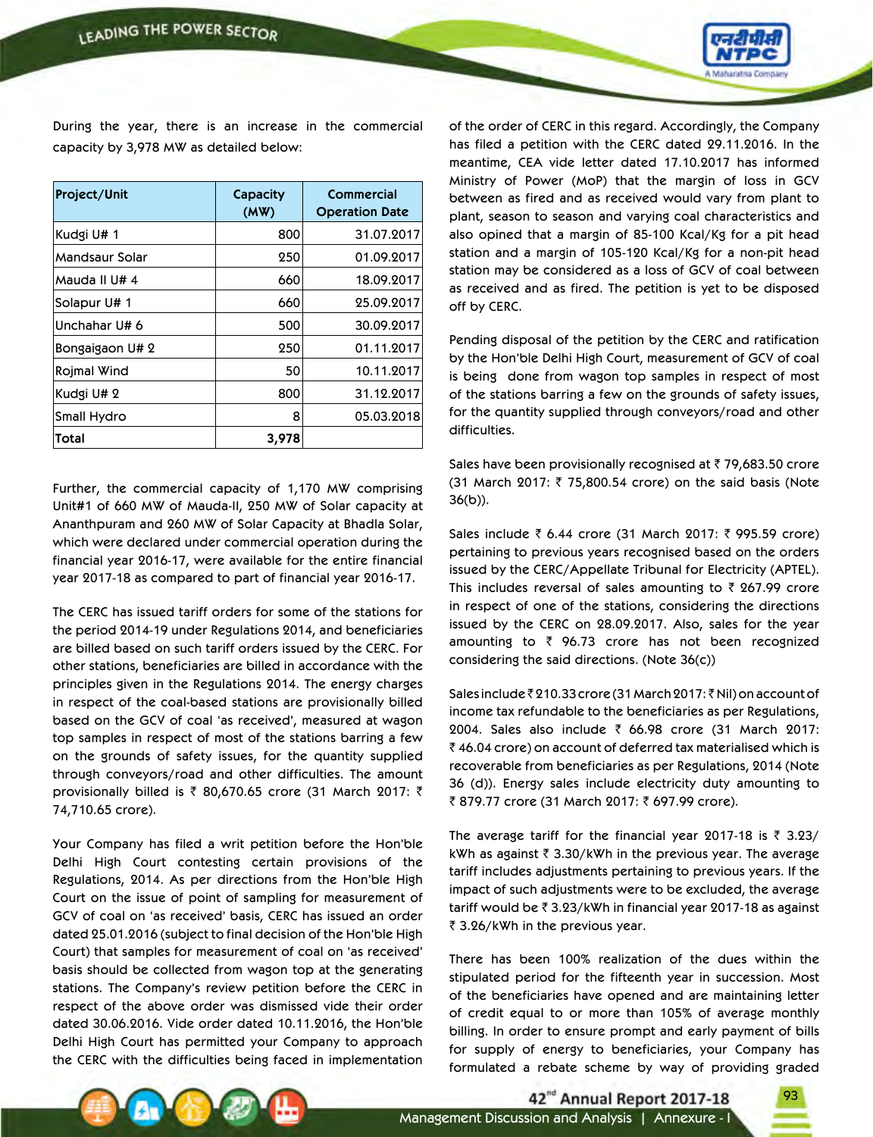

During the year, there is an increase in the commercial capacity by 3,978 MW as detailed below:

| Project/Unit       | Capacity<br>(MW) | Commercial<br><b>Operation Date</b> |
|--------------------|------------------|-------------------------------------|
| Kudgi U# 1         | 800              | 31.07.2017                          |
| Mandsaur Solar     | 250              | 01.09.2017                          |
| Mauda II U# 4      | 660              | 18.09.2017                          |
| Solapur U# 1       | 660              | 25.09.2017                          |
| Unchahar U# 6      | 500              | 30.09.2017                          |
| Bongaigaon U# 2    | 250              | 01.11.2017                          |
| <b>Rojmal Wind</b> | 50               | 10.11.2017                          |
| Kudgi U# 2         | 800              | 31.12.2017                          |
| Small Hydro        | 8                | 05.03.2018                          |
| Total              | 3,978            |                                     |

Further, the commercial capacity of 1,170 MW comprising Unit#1 of 660 MW of Mauda-II, 250 MW of Solar capacity at Ananthpuram and 260 MW of Solar Capacity at Bhadla Solar, which were declared under commercial operation during the financial year 2016-17, were available for the entire financial year 2017-18 as compared to part of financial year 2016-17.

The CERC has issued tariff orders for some of the stations for the period 2014-19 under Regulations 2014, and beneficiaries are billed based on such tariff orders issued by the CERC. For other stations, beneficiaries are billed in accordance with the principles given in the Regulations 2014. The energy charges in respect of the coal-based stations are provisionally billed based on the GCV of coal 'as received', measured at wagon top samples in respect of most of the stations barring a few on the grounds of safety issues, for the quantity supplied through conveyors/road and other difficulties. The amount provisionally billed is  $\bar{\tau}$  80,670.65 crore (31 March 2017:  $\bar{\tau}$ 74,710.65 crore).

Your Company has filed a writ petition before the Hon'ble Delhi High Court contesting certain provisions of the Regulations, 2014. As per directions from the Hon'ble High Court on the issue of point of sampling for measurement of GCV of coal on 'as received' basis, CERC has issued an order dated 25.01.2016 (subject to final decision of the Hon'ble High Court) that samples for measurement of coal on 'as received' basis should be collected from wagon top at the generating stations. The Company's review petition before the CERC in respect of the above order was dismissed vide their order dated 30.06.2016. Vide order dated 10.11.2016, the Hon'ble Delhi High Court has permitted your Company to approach the CERC with the difficulties being faced in implementation

of the order of CERC in this regard. Accordingly, the Company has filed a petition with the CERC dated 29.11.2016. In the meantime, CEA vide letter dated 17.10.2017 has informed Ministry of Power (MoP) that the margin of loss in GCV between as fired and as received would vary from plant to plant, season to season and varying coal characteristics and also opined that a margin of 85-100 Kcal/Kg for a pit head station and a margin of 105-120 Kcal/Kg for a non-pit head station may be considered as a loss of GCV of coal between as received and as fired. The petition is yet to be disposed off by CERC.

Pending disposal of the petition by the CERC and ratification by the Hon'ble Delhi High Court, measurement of GCV of coal is being done from wagon top samples in respect of most of the stations barring a few on the grounds of safety issues, for the quantity supplied through conveyors/road and other difficulties.

Sales have been provisionally recognised at  $\bar{z}$  79,683.50 crore (31 March 2017: ₹ 75,800.54 crore) on the said basis (Note 36(b)).

Sales include  $\bar{z}$  6.44 crore (31 March 2017:  $\bar{z}$  995.59 crore) pertaining to previous years recognised based on the orders issued by the CERC/Appellate Tribunal for Electricity (APTEL). This includes reversal of sales amounting to  $\bar{\tau}$  267.99 crore in respect of one of the stations, considering the directions issued by the CERC on 28.09.2017. Also, sales for the year amounting to  $\bar{z}$  96.73 crore has not been recognized considering the said directions. (Note 36(c))

Sales include ₹ 210.33 crore (31 March 2017: ₹ Nil) on account of income tax refundable to the beneficiaries as per Regulations, 2004. Sales also include  $\bar{\tau}$  66.98 crore (31 March 2017:  $\bar{z}$  46.04 crore) on account of deferred tax materialised which is recoverable from beneficiaries as per Regulations, 2014 (Note 36 (d)). Energy sales include electricity duty amounting to ₹ 879.77 crore (31 March 2017: ₹ 697.99 crore).

The average tariff for the financial year 2017-18 is  $\bar{\tau}$  3.23/ kWh as against  $\bar{\tau}$  3.30/kWh in the previous year. The average tariff includes adjustments pertaining to previous years. If the impact of such adjustments were to be excluded, the average tariff would be  $\bar{\tau}$  3.23/kWh in financial year 2017-18 as against ₹ 3.26/kWh in the previous year.

There has been 100% realization of the dues within the stipulated period for the fifteenth year in succession. Most of the beneficiaries have opened and are maintaining letter of credit equal to or more than 105% of average monthly billing. In order to ensure prompt and early payment of bills for supply of energy to beneficiaries, your Company has formulated a rebate scheme by way of providing graded

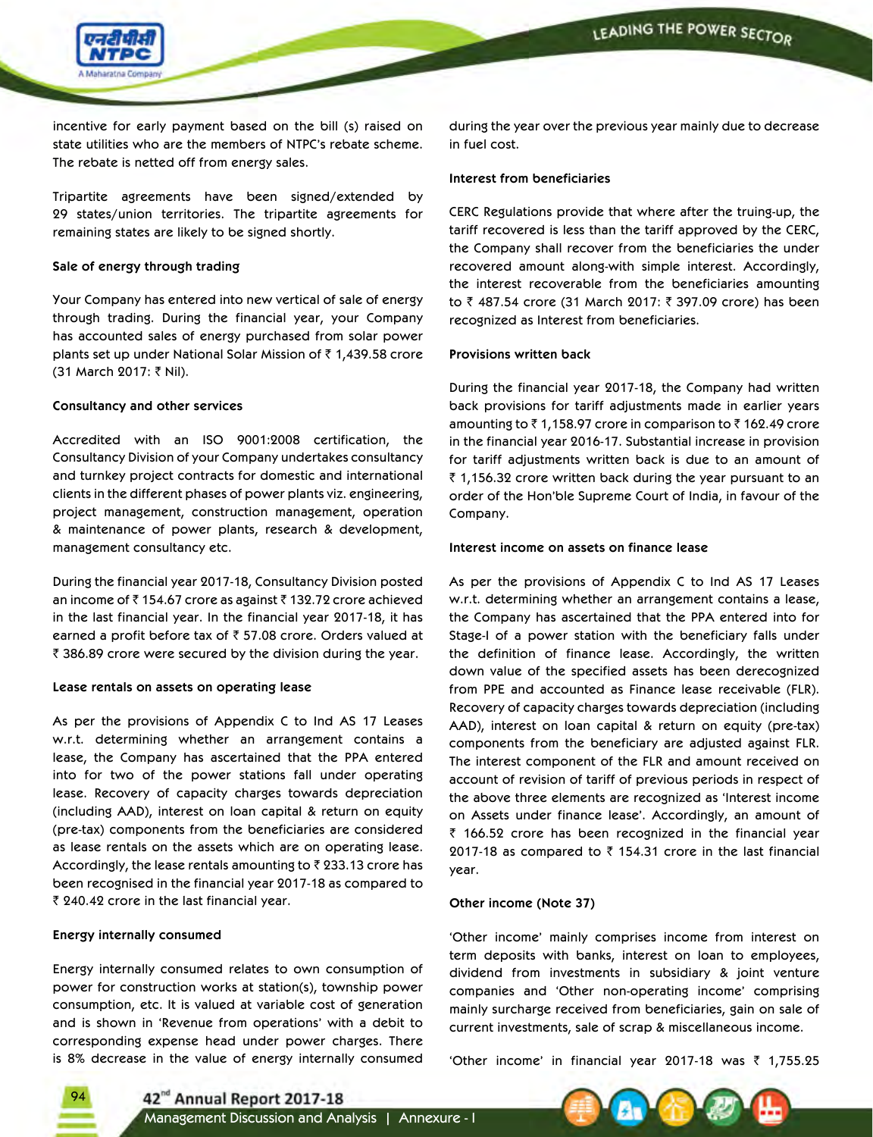

incentive for early payment based on the bill (s) raised on state utilities who are the members of NTPC's rebate scheme. The rebate is netted off from energy sales.

Tripartite agreements have been signed/extended by 29 states/union territories. The tripartite agreements for remaining states are likely to be signed shortly.

### **Sale of energy through trading**

Your Company has entered into new vertical of sale of energy through trading. During the financial year, your Company has accounted sales of energy purchased from solar power plants set up under National Solar Mission of  $\bar{\tau}$  1,439.58 crore (31 March 2017: ₹ Nil).

### **Consultancy and other services**

Accredited with an ISO 9001:2008 certification, the Consultancy Division of your Company undertakes consultancy and turnkey project contracts for domestic and international clients in the different phases of power plants viz. engineering, project management, construction management, operation & maintenance of power plants, research & development, management consultancy etc.

During the financial year 2017-18, Consultancy Division posted an income of  $\bar{z}$  154.67 crore as against  $\bar{z}$  132.72 crore achieved in the last financial year. In the financial year 2017-18, it has earned a profit before tax of  $\bar{\tau}$  57.08 crore. Orders valued at  $\bar{\tau}$  386.89 crore were secured by the division during the year.

### **Lease rentals on assets on operating lease**

As per the provisions of Appendix C to Ind AS 17 Leases w.r.t. determining whether an arrangement contains a lease, the Company has ascertained that the PPA entered into for two of the power stations fall under operating lease. Recovery of capacity charges towards depreciation (including AAD), interest on loan capital & return on equity (pre-tax) components from the beneficiaries are considered as lease rentals on the assets which are on operating lease. Accordingly, the lease rentals amounting to  $\bar{\tau}$  233.13 crore has been recognised in the financial year 2017-18 as compared to ₹ 240.42 crore in the last financial year.

### **Energy internally consumed**

Energy internally consumed relates to own consumption of power for construction works at station(s), township power consumption, etc. It is valued at variable cost of generation and is shown in 'Revenue from operations' with a debit to corresponding expense head under power charges. There is 8% decrease in the value of energy internally consumed during the year over the previous year mainly due to decrease in fuel cost.

#### **Interest from beneficiaries**

CERC Regulations provide that where after the truing-up, the tariff recovered is less than the tariff approved by the CERC, the Company shall recover from the beneficiaries the under recovered amount along-with simple interest. Accordingly, the interest recoverable from the beneficiaries amounting to  $\bar{\zeta}$  487.54 crore (31 March 2017:  $\bar{\zeta}$  397.09 crore) has been recognized as Interest from beneficiaries.

### **Provisions written back**

During the financial year 2017-18, the Company had written back provisions for tariff adjustments made in earlier years amounting to  $\bar{c}$  1,158.97 crore in comparison to  $\bar{c}$  162.49 crore in the financial year 2016-17. Substantial increase in provision for tariff adjustments written back is due to an amount of  $\bar{\tau}$  1,156.32 crore written back during the year pursuant to an order of the Hon'ble Supreme Court of India, in favour of the Company.

### **Interest income on assets on finance lease**

As per the provisions of Appendix C to Ind AS 17 Leases w.r.t. determining whether an arrangement contains a lease, the Company has ascertained that the PPA entered into for Stage-I of a power station with the beneficiary falls under the definition of finance lease. Accordingly, the written down value of the specified assets has been derecognized from PPE and accounted as Finance lease receivable (FLR). Recovery of capacity charges towards depreciation (including AAD), interest on loan capital & return on equity (pre-tax) components from the beneficiary are adjusted against FLR. The interest component of the FLR and amount received on account of revision of tariff of previous periods in respect of the above three elements are recognized as 'Interest income on Assets under finance lease'. Accordingly, an amount of  $\bar{z}$  166.52 crore has been recognized in the financial year 2017-18 as compared to  $\bar{\tau}$  154.31 crore in the last financial year.

### **Other income (Note 37)**

'Other income' mainly comprises income from interest on term deposits with banks, interest on loan to employees, dividend from investments in subsidiary & joint venture companies and 'Other non-operating income' comprising mainly surcharge received from beneficiaries, gain on sale of current investments, sale of scrap & miscellaneous income.

'Other income' in financial year 2017-18 was  $\bar{z}$  1,755.25



42<sup>nd</sup> Annual Report 2017-18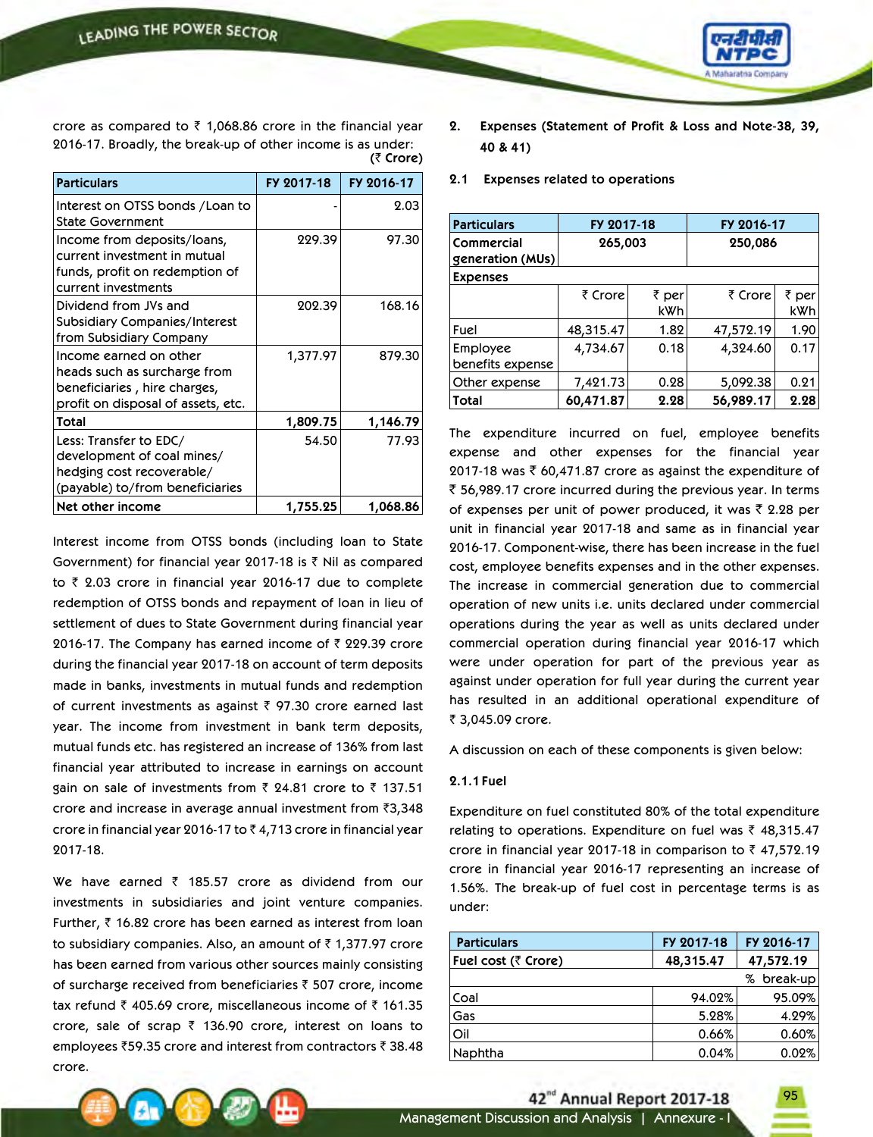

**(**` **Crore)** crore as compared to  $\bar{z}$  1,068.86 crore in the financial year 2016-17. Broadly, the break-up of other income is as under:

| <b>Particulars</b>                                                                                                            | FY 2017-18 | FY 2016-17 |
|-------------------------------------------------------------------------------------------------------------------------------|------------|------------|
| Interest on OTSS bonds / Loan to<br>State Government                                                                          |            | 2.03       |
| Income from deposits/loans,<br>current investment in mutual<br>funds, profit on redemption of<br>current investments          | 229.39     | 97.30      |
| Dividend from JVs and<br>Subsidiary Companies/Interest<br>from Subsidiary Company                                             | 202.39     | 168.16     |
| Income earned on other<br>heads such as surcharge from<br>beneficiaries , hire charges,<br>profit on disposal of assets, etc. | 1,377.97   | 879.30     |
| Total                                                                                                                         | 1,809.75   | 1,146.79   |
| Less: Transfer to EDC/<br>development of coal mines/<br>hedging cost recoverable/<br>(payable) to/from beneficiaries          | 54.50      | 77.93      |
| Net other income                                                                                                              | 1,755.25   | 1,068.86   |

Interest income from OTSS bonds (including loan to State Government) for financial year 2017-18 is  $\bar{\tau}$  Nil as compared to  $\bar{\zeta}$  2.03 crore in financial year 2016-17 due to complete redemption of OTSS bonds and repayment of loan in lieu of settlement of dues to State Government during financial year 2016-17. The Company has earned income of  $\bar{\tau}$  229.39 crore during the financial year 2017-18 on account of term deposits made in banks, investments in mutual funds and redemption of current investments as against  $\bar{\tau}$  97.30 crore earned last year. The income from investment in bank term deposits, mutual funds etc. has registered an increase of 136% from last financial year attributed to increase in earnings on account gain on sale of investments from  $\bar{\tau}$  24.81 crore to  $\bar{\tau}$  137.51 crore and increase in average annual investment from  $\bar{z}3,348$ crore in financial year 2016-17 to  $\bar{z}$  4,713 crore in financial year 2017-18.

We have earned  $\bar{\tau}$  185.57 crore as dividend from our investments in subsidiaries and joint venture companies. Further,  $\bar{\tau}$  16.82 crore has been earned as interest from loan to subsidiary companies. Also, an amount of  $\bar{\tau}$  1,377.97 crore has been earned from various other sources mainly consisting of surcharge received from beneficiaries  $\bar{\tau}$  507 crore, income tax refund  $\bar{\tau}$  405.69 crore, miscellaneous income of  $\bar{\tau}$  161.35 crore, sale of scrap  $\bar{z}$  136.90 crore, interest on loans to employees  $\bar{z}$ 59.35 crore and interest from contractors  $\bar{z}$  38.48 crore.

- **2. Expenses (Statement of Profit & Loss and Note-38, 39, 40 & 41)**
- **2.1 Expenses related to operations**

| <b>Particulars</b>             | FY 2017-18 |              | FY 2016-17 |              |
|--------------------------------|------------|--------------|------------|--------------|
| Commercial<br>generation (MUs) | 265,003    |              | 250,086    |              |
| <b>Expenses</b>                |            |              |            |              |
|                                | ₹ Crore    | ₹ per<br>kWh | ₹ Crore    | ₹ per<br>kWh |
| Fuel                           | 48,315.47  | 1.82         | 47,572.19  | 1.90         |
| Employee<br>benefits expense   | 4,734.67   | 0.18         | 4,324.60   | 0.17         |
| Other expense                  | 7,421.73   | 0.28         | 5,092.38   | 0.21         |
| Total                          | 60,471.87  | 2.28         | 56,989.17  | 2.28         |

The expenditure incurred on fuel, employee benefits expense and other expenses for the financial year 2017-18 was ₹ 60,471.87 crore as against the expenditure of  $\bar{\tau}$  56,989.17 crore incurred during the previous year. In terms of expenses per unit of power produced, it was  $\bar{\tau}$  2.28 per unit in financial year 2017-18 and same as in financial year 2016-17. Component-wise, there has been increase in the fuel cost, employee benefits expenses and in the other expenses. The increase in commercial generation due to commercial operation of new units i.e. units declared under commercial operations during the year as well as units declared under commercial operation during financial year 2016-17 which were under operation for part of the previous year as against under operation for full year during the current year has resulted in an additional operational expenditure of ₹ 3,045.09 crore.

A discussion on each of these components is given below:

### **2.1.1 Fuel**

Expenditure on fuel constituted 80% of the total expenditure relating to operations. Expenditure on fuel was  $\bar{\tau}$  48,315.47 crore in financial year 2017-18 in comparison to  $\bar{z}$  47,572.19 crore in financial year 2016-17 representing an increase of 1.56%. The break-up of fuel cost in percentage terms is as under:

| <b>Particulars</b>  | FY 2017-18 | FY 2016-17    |
|---------------------|------------|---------------|
| Fuel cost (₹ Crore) | 48,315.47  | 47,572.19     |
|                     |            | break-up<br>% |
| Coal                | 94.02%     | 95.09%        |
| Gas                 | 5.28%      | 4.29%         |
| Oil                 | 0.66%      | 0.60%         |
| Naphtha             | 0.04%      | 0.02%         |



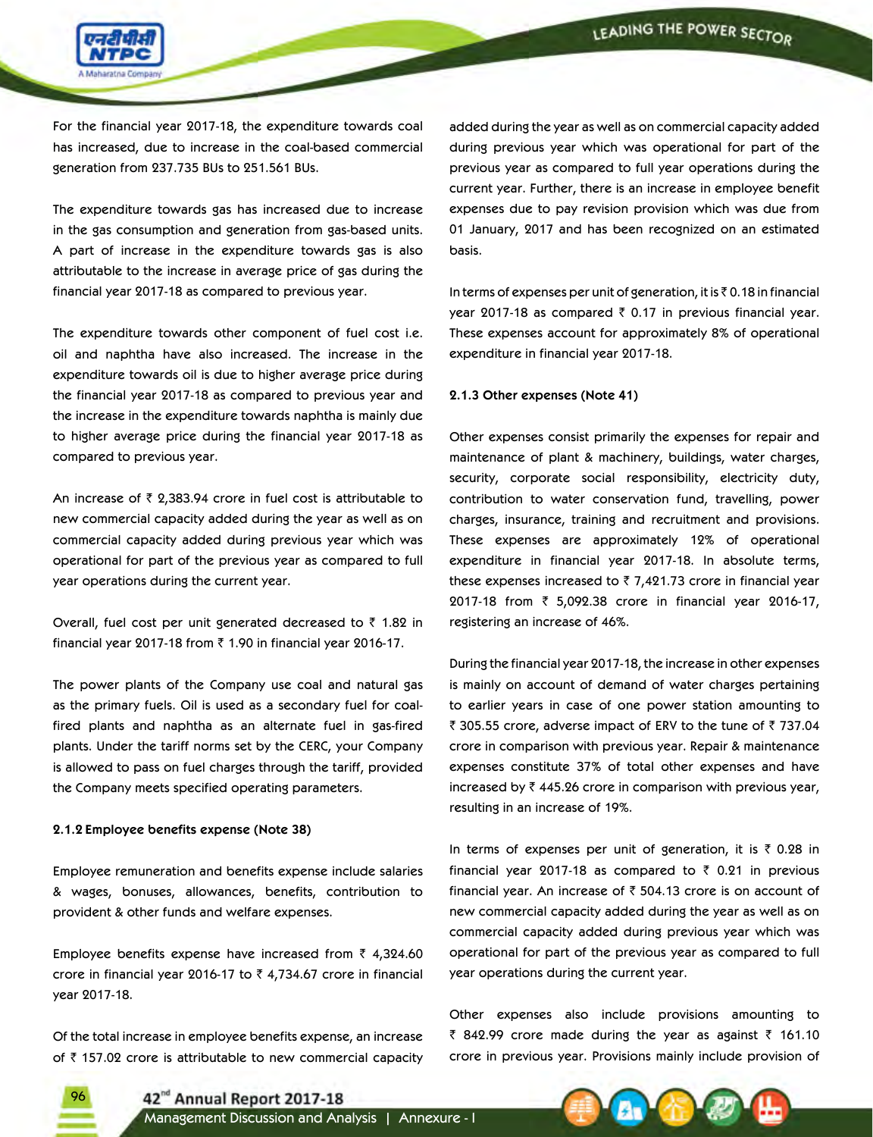

For the financial year 2017-18, the expenditure towards coal has increased, due to increase in the coal-based commercial generation from 237.735 BUs to 251.561 BUs.

The expenditure towards gas has increased due to increase in the gas consumption and generation from gas-based units. A part of increase in the expenditure towards gas is also attributable to the increase in average price of gas during the financial year 2017-18 as compared to previous year.

The expenditure towards other component of fuel cost i.e. oil and naphtha have also increased. The increase in the expenditure towards oil is due to higher average price during the financial year 2017-18 as compared to previous year and the increase in the expenditure towards naphtha is mainly due to higher average price during the financial year 2017-18 as compared to previous year.

An increase of  $\bar{\tau}$  2,383.94 crore in fuel cost is attributable to new commercial capacity added during the year as well as on commercial capacity added during previous year which was operational for part of the previous year as compared to full year operations during the current year.

Overall, fuel cost per unit generated decreased to  $\bar{\tau}$  1.82 in financial year 2017-18 from  $\bar{\tau}$  1.90 in financial year 2016-17.

The power plants of the Company use coal and natural gas as the primary fuels. Oil is used as a secondary fuel for coalfired plants and naphtha as an alternate fuel in gas-fired plants. Under the tariff norms set by the CERC, your Company is allowed to pass on fuel charges through the tariff, provided the Company meets specified operating parameters.

#### **2.1.2 Employee benefits expense (Note 38)**

96

Employee remuneration and benefits expense include salaries & wages, bonuses, allowances, benefits, contribution to provident & other funds and welfare expenses.

Employee benefits expense have increased from  $\bar{z}$  4,324.60 crore in financial year 2016-17 to  $\bar{\tau}$  4,734.67 crore in financial year 2017-18.

Of the total increase in employee benefits expense, an increase of  $\bar{\tau}$  157.02 crore is attributable to new commercial capacity added during the year as well as on commercial capacity added during previous year which was operational for part of the previous year as compared to full year operations during the current year. Further, there is an increase in employee benefit expenses due to pay revision provision which was due from 01 January, 2017 and has been recognized on an estimated basis.

In terms of expenses per unit of generation, it is  $\bar{\tau}$  0.18 in financial year 2017-18 as compared  $\bar{\tau}$  0.17 in previous financial year. These expenses account for approximately 8% of operational expenditure in financial year 2017-18.

### **2.1.3 Other expenses (Note 41)**

Other expenses consist primarily the expenses for repair and maintenance of plant & machinery, buildings, water charges, security, corporate social responsibility, electricity duty, contribution to water conservation fund, travelling, power charges, insurance, training and recruitment and provisions. These expenses are approximately 12% of operational expenditure in financial year 2017-18. In absolute terms, these expenses increased to  $\bar{z}$  7,421.73 crore in financial year 2017-18 from ₹ 5,092.38 crore in financial year 2016-17, registering an increase of 46%.

During the financial year 2017-18, the increase in other expenses is mainly on account of demand of water charges pertaining to earlier years in case of one power station amounting to  $\bar{\tau}$  305.55 crore, adverse impact of ERV to the tune of  $\bar{\tau}$  737.04 crore in comparison with previous year. Repair & maintenance expenses constitute 37% of total other expenses and have increased by  $\bar{\tau}$  445.26 crore in comparison with previous year, resulting in an increase of 19%.

In terms of expenses per unit of generation, it is  $\bar{\tau}$  0.28 in financial year 2017-18 as compared to  $\bar{\tau}$  0.21 in previous financial year. An increase of  $\bar{\tau}$  504.13 crore is on account of new commercial capacity added during the year as well as on commercial capacity added during previous year which was operational for part of the previous year as compared to full year operations during the current year.

Other expenses also include provisions amounting to  $\bar{\zeta}$  842.99 crore made during the year as against  $\bar{\zeta}$  161.10 crore in previous year. Provisions mainly include provision of

42<sup>nd</sup> Annual Report 2017-18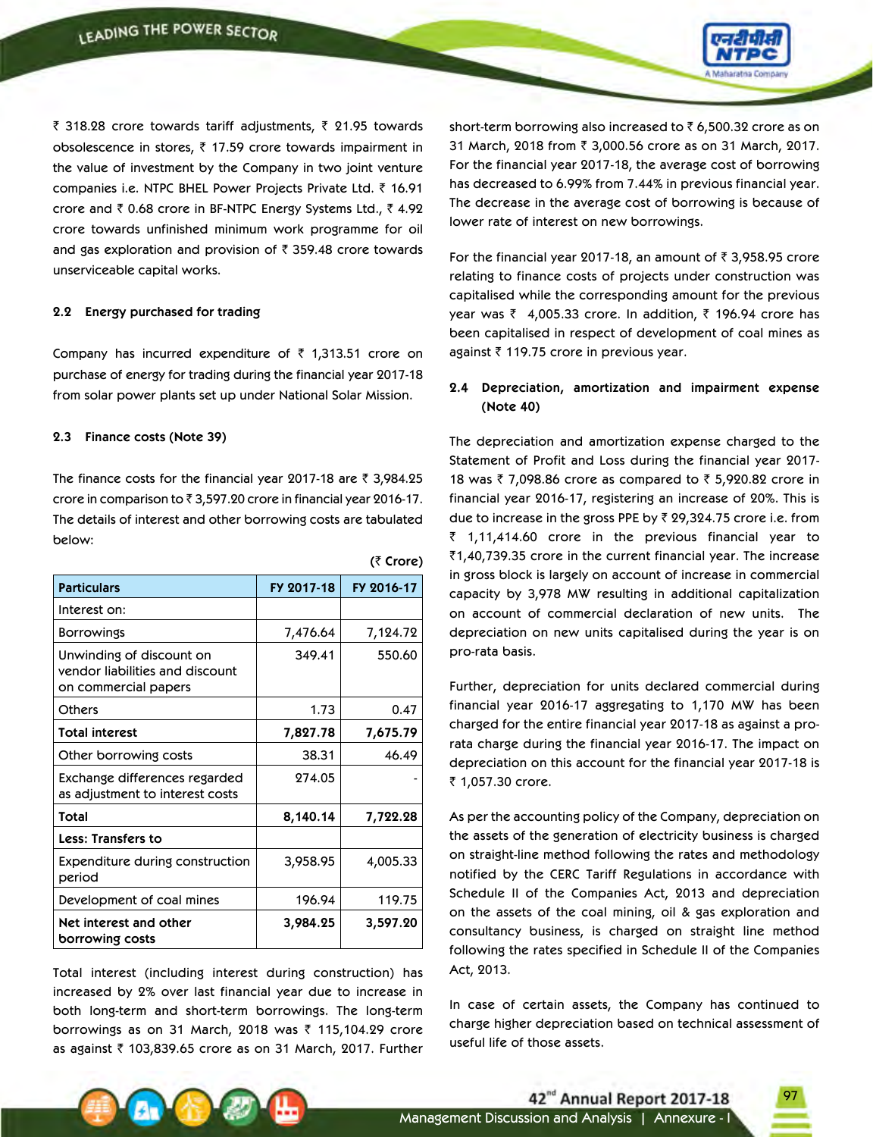

₹ 318.28 crore towards tariff adjustments, ₹ 21.95 towards obsolescence in stores,  $\bar{\tau}$  17.59 crore towards impairment in the value of investment by the Company in two joint venture companies i.e. NTPC BHEL Power Projects Private Ltd. ₹ 16.91 crore and  $\bar{z}$  0.68 crore in BF-NTPC Energy Systems Ltd.,  $\bar{z}$  4.92 crore towards unfinished minimum work programme for oil and gas exploration and provision of  $\bar{\tau}$  359.48 crore towards unserviceable capital works.

#### **2.2 Energy purchased for trading**

Company has incurred expenditure of  $\bar{\tau}$  1,313.51 crore on purchase of energy for trading during the financial year 2017-18 from solar power plants set up under National Solar Mission.

#### **2.3 Finance costs (Note 39)**

The finance costs for the financial year 2017-18 are  $\bar{\tau}$  3,984.25 crore in comparison to  $\bar{\tau}$  3,597.20 crore in financial year 2016-17. The details of interest and other borrowing costs are tabulated below:

**(**` **Crore)**

| <b>Particulars</b>                                                                  | FY 2017-18 | FY 2016-17 |
|-------------------------------------------------------------------------------------|------------|------------|
| Interest on:                                                                        |            |            |
| <b>Borrowings</b>                                                                   | 7,476.64   | 7,124.72   |
| Unwinding of discount on<br>vendor liabilities and discount<br>on commercial papers | 349.41     | 550.60     |
| Others                                                                              | 1.73       | 0.47       |
| <b>Total interest</b>                                                               | 7,827.78   | 7,675.79   |
| Other borrowing costs                                                               | 38.31      | 46.49      |
| Exchange differences regarded<br>as adjustment to interest costs                    | 274.05     |            |
| Total                                                                               | 8,140.14   | 7,722.28   |
| <b>Less: Transfers to</b>                                                           |            |            |
| <b>Expenditure during construction</b><br>period                                    | 3,958.95   | 4,005.33   |
| Development of coal mines                                                           | 196.94     | 119.75     |
| Net interest and other<br>borrowing costs                                           | 3,984.25   | 3,597.20   |

Total interest (including interest during construction) has increased by 2% over last financial year due to increase in both long-term and short-term borrowings. The long-term borrowings as on 31 March, 2018 was  $\bar{\tau}$  115,104.29 crore as against  $\bar{\tau}$  103,839.65 crore as on 31 March, 2017. Further

short-term borrowing also increased to  $\bar{\tau}$  6,500.32 crore as on 31 March, 2018 from ₹ 3,000.56 crore as on 31 March, 2017. For the financial year 2017-18, the average cost of borrowing has decreased to 6.99% from 7.44% in previous financial year. The decrease in the average cost of borrowing is because of lower rate of interest on new borrowings.

For the financial year 2017-18, an amount of  $\bar{\tau}$  3,958.95 crore relating to finance costs of projects under construction was capitalised while the corresponding amount for the previous year was  $\bar{z}$  4,005.33 crore. In addition,  $\bar{z}$  196.94 crore has been capitalised in respect of development of coal mines as against  $\bar{\tau}$  119.75 crore in previous year.

## **2.4 Depreciation, amortization and impairment expense (Note 40)**

The depreciation and amortization expense charged to the Statement of Profit and Loss during the financial year 2017- 18 was  $\bar{z}$  7,098.86 crore as compared to  $\bar{z}$  5,920.82 crore in financial year 2016-17, registering an increase of 20%. This is due to increase in the gross PPE by  $\bar{z}$  29,324.75 crore i.e. from  $\bar{z}$  1,11,414.60 crore in the previous financial year to  $\bar{c}$ 1,40,739.35 crore in the current financial year. The increase in gross block is largely on account of increase in commercial capacity by 3,978 MW resulting in additional capitalization on account of commercial declaration of new units. The depreciation on new units capitalised during the year is on pro-rata basis.

Further, depreciation for units declared commercial during financial year 2016-17 aggregating to 1,170 MW has been charged for the entire financial year 2017-18 as against a prorata charge during the financial year 2016-17. The impact on depreciation on this account for the financial year 2017-18 is ₹ 1,057.30 crore.

As per the accounting policy of the Company, depreciation on the assets of the generation of electricity business is charged on straight-line method following the rates and methodology notified by the CERC Tariff Regulations in accordance with Schedule II of the Companies Act, 2013 and depreciation on the assets of the coal mining, oil & gas exploration and consultancy business, is charged on straight line method following the rates specified in Schedule II of the Companies Act, 2013.

In case of certain assets, the Company has continued to charge higher depreciation based on technical assessment of useful life of those assets.

42<sup>nd</sup> Annual Report 2017-18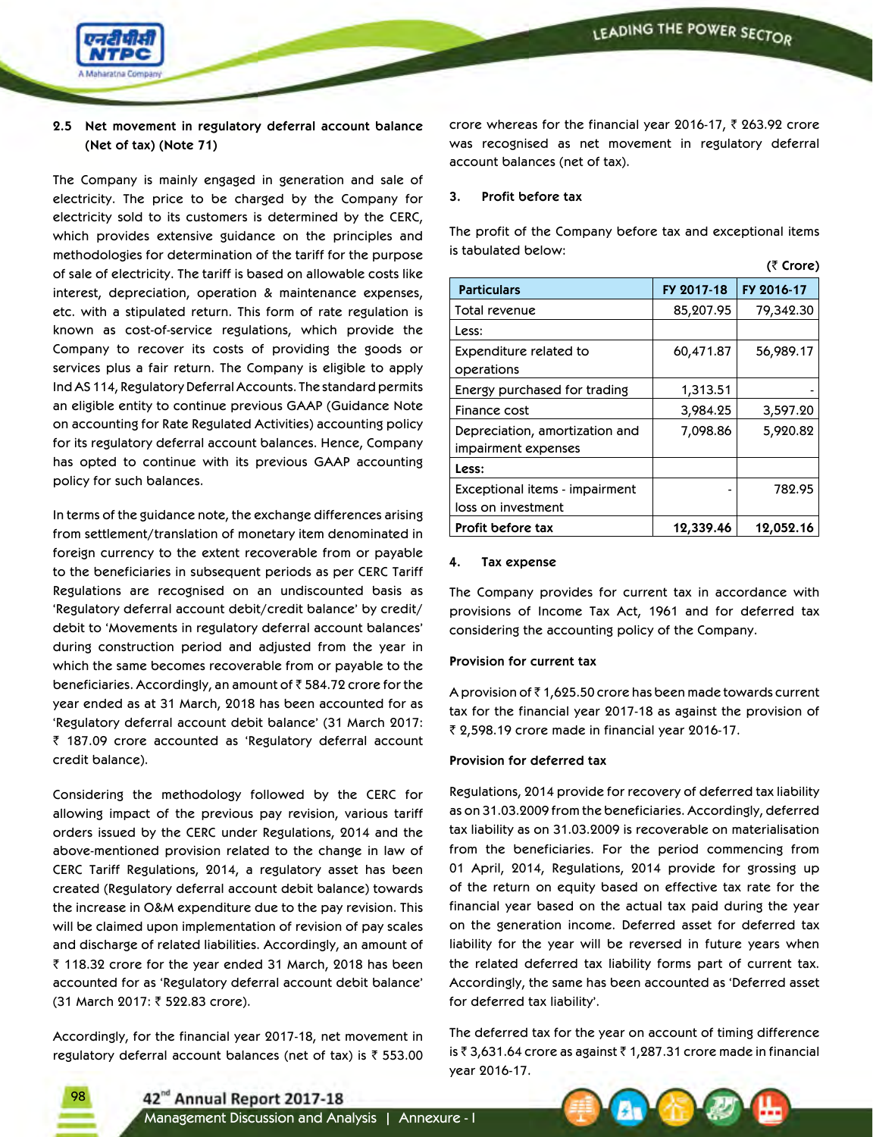$(\bar{\tau}$  Crore)



## **2.5 Net movement in regulatory deferral account balance (Net of tax) (Note 71)**

The Company is mainly engaged in generation and sale of electricity. The price to be charged by the Company for electricity sold to its customers is determined by the CERC, which provides extensive guidance on the principles and methodologies for determination of the tariff for the purpose of sale of electricity. The tariff is based on allowable costs like interest, depreciation, operation & maintenance expenses, etc. with a stipulated return. This form of rate regulation is known as cost-of-service regulations, which provide the Company to recover its costs of providing the goods or services plus a fair return. The Company is eligible to apply Ind AS 114, Regulatory Deferral Accounts. The standard permits an eligible entity to continue previous GAAP (Guidance Note on accounting for Rate Regulated Activities) accounting policy for its regulatory deferral account balances. Hence, Company has opted to continue with its previous GAAP accounting policy for such balances.

In terms of the guidance note, the exchange differences arising from settlement/translation of monetary item denominated in foreign currency to the extent recoverable from or payable to the beneficiaries in subsequent periods as per CERC Tariff Regulations are recognised on an undiscounted basis as 'Regulatory deferral account debit/credit balance' by credit/ debit to 'Movements in regulatory deferral account balances' during construction period and adjusted from the year in which the same becomes recoverable from or payable to the beneficiaries. Accordingly, an amount of  $\bar{\tau}$  584.72 crore for the year ended as at 31 March, 2018 has been accounted for as 'Regulatory deferral account debit balance' (31 March 2017: ₹ 187.09 crore accounted as 'Regulatory deferral account credit balance).

Considering the methodology followed by the CERC for allowing impact of the previous pay revision, various tariff orders issued by the CERC under Regulations, 2014 and the above-mentioned provision related to the change in law of CERC Tariff Regulations, 2014, a regulatory asset has been created (Regulatory deferral account debit balance) towards the increase in O&M expenditure due to the pay revision. This will be claimed upon implementation of revision of pay scales and discharge of related liabilities. Accordingly, an amount of  $\bar{\tau}$  118.32 crore for the year ended 31 March, 2018 has been accounted for as 'Regulatory deferral account debit balance' (31 March 2017: ₹ 522.83 crore).

Accordingly, for the financial year 2017-18, net movement in regulatory deferral account balances (net of tax) is  $\bar{\tau}$  553.00

98

crore whereas for the financial year 2016-17,  $\bar{\tau}$  263.92 crore was recognised as net movement in regulatory deferral account balances (net of tax).

### **3. Profit before tax**

The profit of the Company before tax and exceptional items is tabulated below:

|                                                       |            | \\\JIVIY <i>I</i> |
|-------------------------------------------------------|------------|-------------------|
| <b>Particulars</b>                                    | FY 2017-18 | FY 2016-17        |
| Total revenue                                         | 85,207.95  | 79,342.30         |
| Less:                                                 |            |                   |
| Expenditure related to<br>operations                  | 60,471.87  | 56,989.17         |
| Energy purchased for trading                          | 1,313.51   |                   |
| Finance cost                                          | 3,984.25   | 3,597.20          |
| Depreciation, amortization and<br>impairment expenses | 7,098.86   | 5,920.82          |
| Less:                                                 |            |                   |
| Exceptional items - impairment<br>loss on investment  |            | 782.95            |
| Profit before tax                                     | 12,339.46  | 12,052.16         |

### **4. Tax expense**

The Company provides for current tax in accordance with provisions of Income Tax Act, 1961 and for deferred tax considering the accounting policy of the Company.

#### **Provision for current tax**

A provision of  $\bar{c}$  1,625.50 crore has been made towards current tax for the financial year 2017-18 as against the provision of  $\bar{\tau}$  2,598.19 crore made in financial year 2016-17.

#### **Provision for deferred tax**

Regulations, 2014 provide for recovery of deferred tax liability as on 31.03.2009 from the beneficiaries. Accordingly, deferred tax liability as on 31.03.2009 is recoverable on materialisation from the beneficiaries. For the period commencing from 01 April, 2014, Regulations, 2014 provide for grossing up of the return on equity based on effective tax rate for the financial year based on the actual tax paid during the year on the generation income. Deferred asset for deferred tax liability for the year will be reversed in future years when the related deferred tax liability forms part of current tax. Accordingly, the same has been accounted as 'Deferred asset for deferred tax liability'.

The deferred tax for the year on account of timing difference is  $\bar{\tau}$  3,631.64 crore as against  $\bar{\tau}$  1,287.31 crore made in financial year 2016-17.

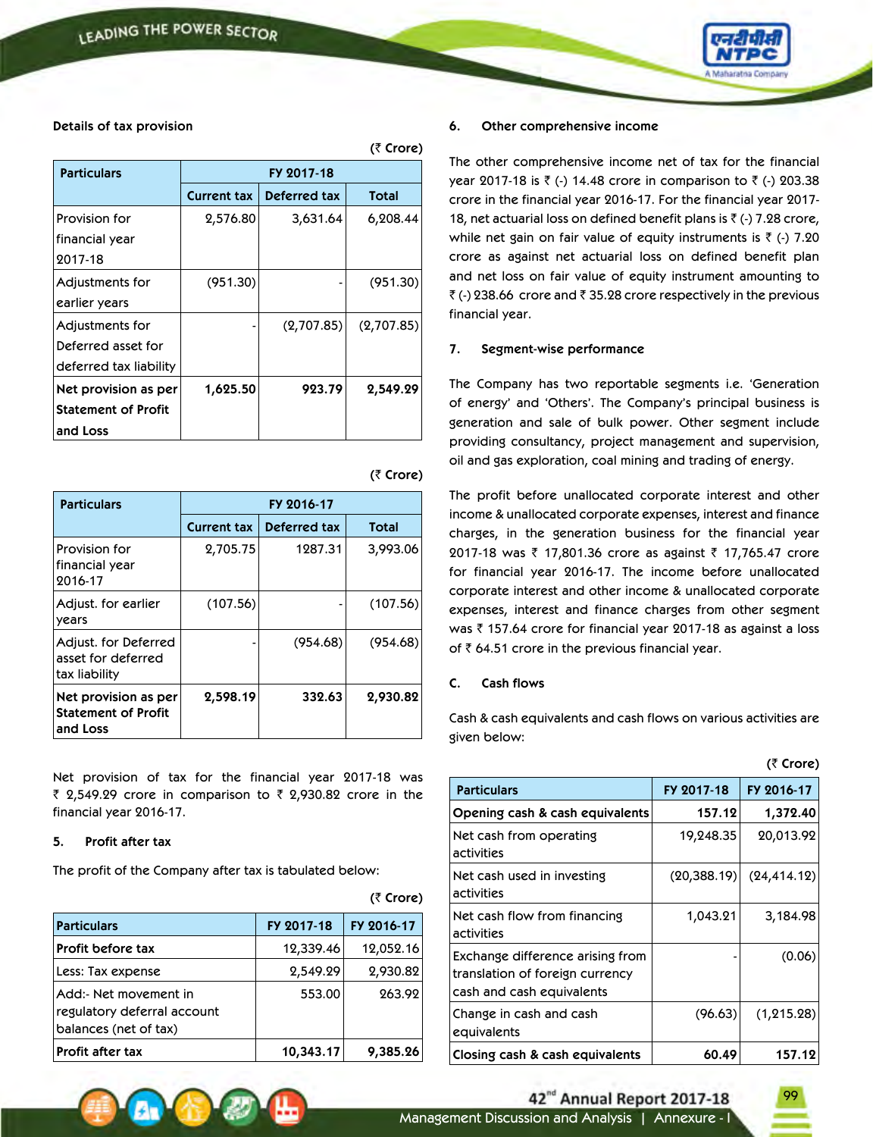

### **Details of tax provision**

|                            |                    |              | (₹ Crore)  |
|----------------------------|--------------------|--------------|------------|
| <b>Particulars</b>         | FY 2017-18         |              |            |
|                            | <b>Current tax</b> | Deferred tax | Total      |
| Provision for              | 2,576.80           | 3,631.64     | 6,208.44   |
| financial year             |                    |              |            |
| 2017-18                    |                    |              |            |
| Adjustments for            | (951.30)           |              | (951.30)   |
| earlier years              |                    |              |            |
| Adjustments for            |                    | (2,707.85)   | (2,707.85) |
| Deferred asset for         |                    |              |            |
| deferred tax liability     |                    |              |            |
| Net provision as per       | 1,625.50           | 923.79       | 2,549.29   |
| <b>Statement of Profit</b> |                    |              |            |
| and Loss                   |                    |              |            |

| <b>Particulars</b>                                             | FY 2016-17         |              |              |
|----------------------------------------------------------------|--------------------|--------------|--------------|
|                                                                | <b>Current tax</b> | Deferred tax | <b>Total</b> |
| Provision for<br>financial year<br>2016-17                     | 2,705.75           | 1287.31      | 3,993.06     |
| Adjust. for earlier<br>years                                   | (107.56)           |              | (107.56)     |
| Adjust. for Deferred<br>asset for deferred<br>tax liability    |                    | (954.68)     | (954.68)     |
| Net provision as per<br><b>Statement of Profit</b><br>and Loss | 2,598.19           | 332.63       | 2,930.82     |

Net provision of tax for the financial year 2017-18 was ₹ 2,549.29 crore in comparison to ₹ 2,930.82 crore in the financial year 2016-17.

#### **5. Profit after tax**

The profit of the Company after tax is tabulated below:

| <b>Particulars</b>                                                            | FY 2017-18 | FY 2016-17 |
|-------------------------------------------------------------------------------|------------|------------|
| <b>Profit before tax</b>                                                      | 12,339.46  | 12,052.16  |
| Less: Tax expense                                                             | 2,549.29   | 2,930.82   |
| Add:- Net movement in<br>regulatory deferral account<br>balances (net of tax) | 553.00     | 263.92     |
| Profit after tax                                                              | 10,343.17  | 9,385.26   |

#### **6. Other comprehensive income**

The other comprehensive income net of tax for the financial year 2017-18 is ₹ (-) 14.48 crore in comparison to ₹ (-) 203.38 crore in the financial year 2016-17. For the financial year 2017- 18, net actuarial loss on defined benefit plans is  $\bar{f}$  (-) 7.28 crore, while net gain on fair value of equity instruments is  $\bar{\tau}$  (-) 7.20 crore as against net actuarial loss on defined benefit plan and net loss on fair value of equity instrument amounting to  $\bar{\zeta}$  (-) 238.66 crore and  $\bar{\zeta}$  35.28 crore respectively in the previous financial year.

### **7. Segment-wise performance**

The Company has two reportable segments i.e. 'Generation of energy' and 'Others'. The Company's principal business is generation and sale of bulk power. Other segment include providing consultancy, project management and supervision, oil and gas exploration, coal mining and trading of energy.

The profit before unallocated corporate interest and other income & unallocated corporate expenses, interest and finance charges, in the generation business for the financial year 2017-18 was ₹ 17,801.36 crore as against ₹ 17,765.47 crore for financial year 2016-17. The income before unallocated corporate interest and other income & unallocated corporate expenses, interest and finance charges from other segment was ₹ 157.64 crore for financial year 2017-18 as against a loss of  $\bar{\tau}$  64.51 crore in the previous financial year.

### **C. Cash flows**

Cash & cash equivalents and cash flows on various activities are given below:

|                                                                                                  |              | (₹ Crore)    |
|--------------------------------------------------------------------------------------------------|--------------|--------------|
| <b>Particulars</b>                                                                               | FY 2017-18   | FY 2016-17   |
| Opening cash & cash equivalents                                                                  | 157.12       | 1,372.40     |
| Net cash from operating<br>activities                                                            | 19,248.35    | 20,013.92    |
| Net cash used in investing<br>activities                                                         | (20, 388.19) | (24, 414.12) |
| Net cash flow from financing<br>activities                                                       | 1,043.21     | 3,184.98     |
| Exchange difference arising from<br>translation of foreign currency<br>cash and cash equivalents |              | (0.06)       |
| Change in cash and cash<br>equivalents                                                           | (96.63)      | (1, 215.28)  |
| Closing cash & cash equivalents                                                                  | 60.49        | 157.12       |

99

# **(**` **Crore)**

**(**` **Crore)**

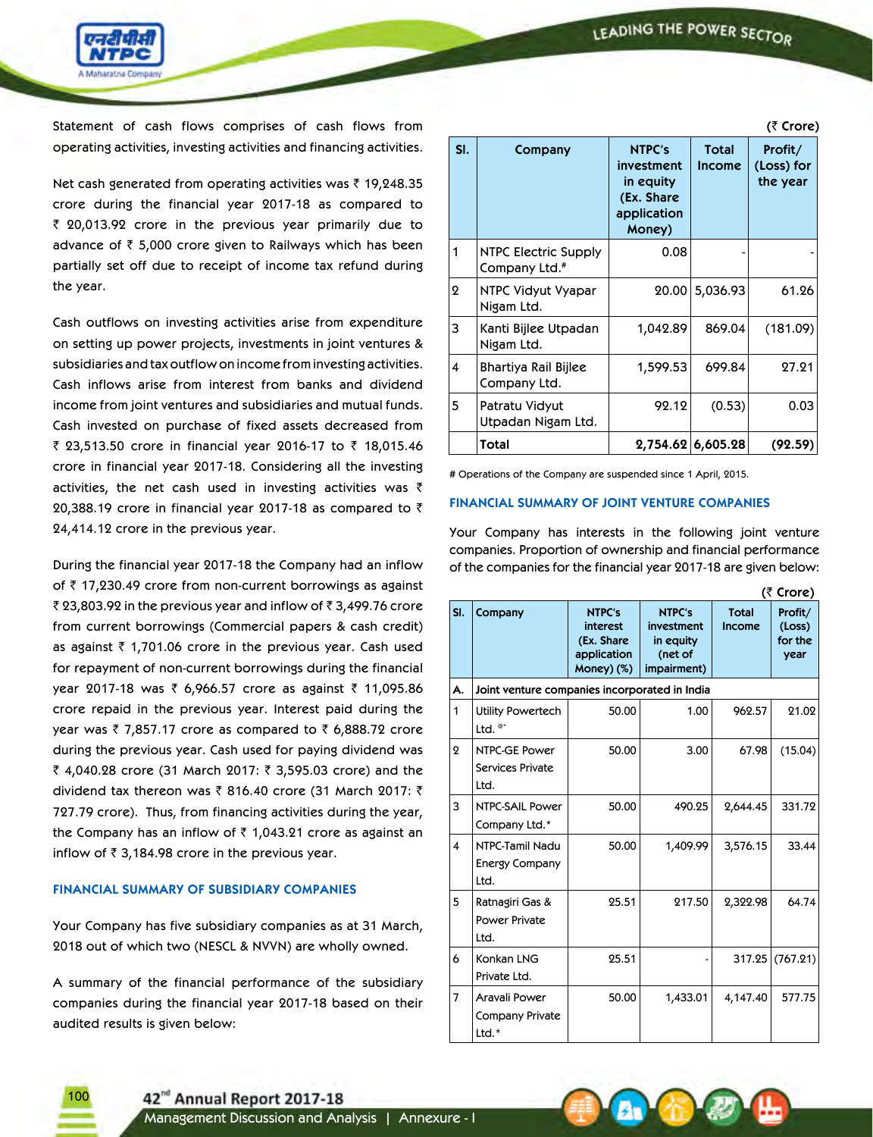LEADING THE POWER SECTOR

 $(F$   $C$  $O$  $P$ 

**(**` **Crore)**



Statement of cash flows comprises of cash flows from operating activities, investing activities and financing activities.

Net cash generated from operating activities was  $\bar{\tau}$  19,248.35 crore during the financial year 2017-18 as compared to  $\bar{z}$  20,013.92 crore in the previous year primarily due to advance of  $\bar{\tau}$  5,000 crore given to Railways which has been partially set off due to receipt of income tax refund during the year.

Cash outflows on investing activities arise from expenditure on setting up power projects, investments in joint ventures & subsidiaries and tax outflow on income from investing activities. Cash inflows arise from interest from banks and dividend income from joint ventures and subsidiaries and mutual funds. Cash invested on purchase of fixed assets decreased from ₹ 23,513.50 crore in financial year 2016-17 to ₹ 18,015.46 crore in financial year 2017-18. Considering all the investing activities, the net cash used in investing activities was  $\bar{\tau}$ 20,388.19 crore in financial year 2017-18 as compared to  $\bar{\tau}$ 24,414.12 crore in the previous year.

During the financial year 2017-18 the Company had an inflow of  $\bar{\tau}$  17,230.49 crore from non-current borrowings as against ₹ 23,803.92 in the previous year and inflow of  $\bar{z}$  3,499.76 crore from current borrowings (Commercial papers & cash credit) as against  $\bar{\tau}$  1,701.06 crore in the previous year. Cash used for repayment of non-current borrowings during the financial year 2017-18 was ₹ 6,966.57 crore as against ₹ 11,095.86 crore repaid in the previous year. Interest paid during the year was  $\overline{\zeta}$  7,857.17 crore as compared to  $\overline{\zeta}$  6,888.72 crore during the previous year. Cash used for paying dividend was ₹ 4,040.28 crore (31 March 2017: ₹ 3,595.03 crore) and the dividend tax thereon was  $\bar{\tau}$  816.40 crore (31 March 2017:  $\bar{\tau}$ 727.79 crore). Thus, from financing activities during the year, the Company has an inflow of  $\bar{\tau}$  1,043.21 crore as against an inflow of  $\bar{z}$  3,184.98 crore in the previous year.

## **FINANCIAL SUMMARY OF SUBSIDIARY COMPANIES**

Your Company has five subsidiary companies as at 31 March, 2018 out of which two (NESCL & NVVN) are wholly owned.

A summary of the financial performance of the subsidiary companies during the financial year 2017-18 based on their audited results is given below:

|     | $\sim$ $\sim$ $\sim$ $\sim$ $\sim$                |                                                                                 |                               |                                   |  |
|-----|---------------------------------------------------|---------------------------------------------------------------------------------|-------------------------------|-----------------------------------|--|
| SI. | Company                                           | <b>NTPC's</b><br>investment<br>in equity<br>(Ex. Share<br>application<br>Money) | <b>Total</b><br><b>Income</b> | Profit/<br>(Loss) for<br>the year |  |
| 1   | NTPC Electric Supply<br>Company Ltd. <sup>#</sup> | 0.08                                                                            |                               |                                   |  |
| 2   | NTPC Vidyut Vyapar<br>Nigam Ltd.                  | 20.00                                                                           | 5,036.93                      | 61.26                             |  |
| 3   | Kanti Bijlee Utpadan<br>Nigam Ltd.                | 1,042.89                                                                        | 869.04                        | (181.09)                          |  |
| 4   | Bhartiya Rail Bijlee<br>Company Ltd.              | 1,599.53                                                                        | 699.84                        | 27.21                             |  |
| 5   | Patratu Vidyut<br>Utpadan Nigam Ltd.              | 92.12                                                                           | (0.53)                        | 0.03                              |  |
|     | Total                                             |                                                                                 | 2,754.62 6,605.28             | (92.59)                           |  |

# Operations of the Company are suspended since 1 April, 2015.

#### **FINANCIAL SUMMARY OF JOINT VENTURE COMPANIES**

Your Company has interests in the following joint venture companies. Proportion of ownership and financial performance of the companies for the financial year 2017-18 are given below:

|                | (< crore)                                        |                                                                      |                                                             |                               |                                      |  |  |
|----------------|--------------------------------------------------|----------------------------------------------------------------------|-------------------------------------------------------------|-------------------------------|--------------------------------------|--|--|
| SI.            | Company                                          | <b>NTPC's</b><br>interest<br>(Ex. Share<br>application<br>Money) (%) | NTPC's<br>investment<br>in equity<br>(net of<br>impairment) | <b>Total</b><br><b>Income</b> | Profit/<br>(Loss)<br>for the<br>year |  |  |
| А.             | Joint venture companies incorporated in India    |                                                                      |                                                             |                               |                                      |  |  |
| 1              | Utility Powertech<br>Ltd. $e^*$                  | 50.00                                                                | 1.00                                                        | 962.57                        | 21.02                                |  |  |
| $\mathbf 2$    | NTPC-GE Power<br><b>Services Private</b><br>Ltd. | 50.00                                                                | 3.00                                                        | 67.98                         | (15.04)                              |  |  |
| 3              | NTPC-SAIL Power<br>Company Ltd.*                 | 50.00                                                                | 490.25                                                      | 2,644.45                      | 331.72                               |  |  |
| 4              | NTPC-Tamil Nadu<br><b>Energy Company</b><br>Ltd. | 50.00                                                                | 1,409.99                                                    | 3,576.15                      | 33.44                                |  |  |
| 5              | Ratnagiri Gas &<br><b>Power Private</b><br>Ltd.  | 25.51                                                                | 217.50                                                      | 2,322.98                      | 64.74                                |  |  |
| 6              | Konkan LNG<br>Private Ltd.                       | 25.51                                                                |                                                             | 317.25                        | (767.21)                             |  |  |
| $\overline{7}$ | Aravali Power<br>Company Private<br>Ltd.*        | 50.00                                                                | 1,433.01                                                    | 4,147.40                      | 577.75                               |  |  |

42<sup>nd</sup> Annual Report 2017-18

 $10<sub>c</sub>$